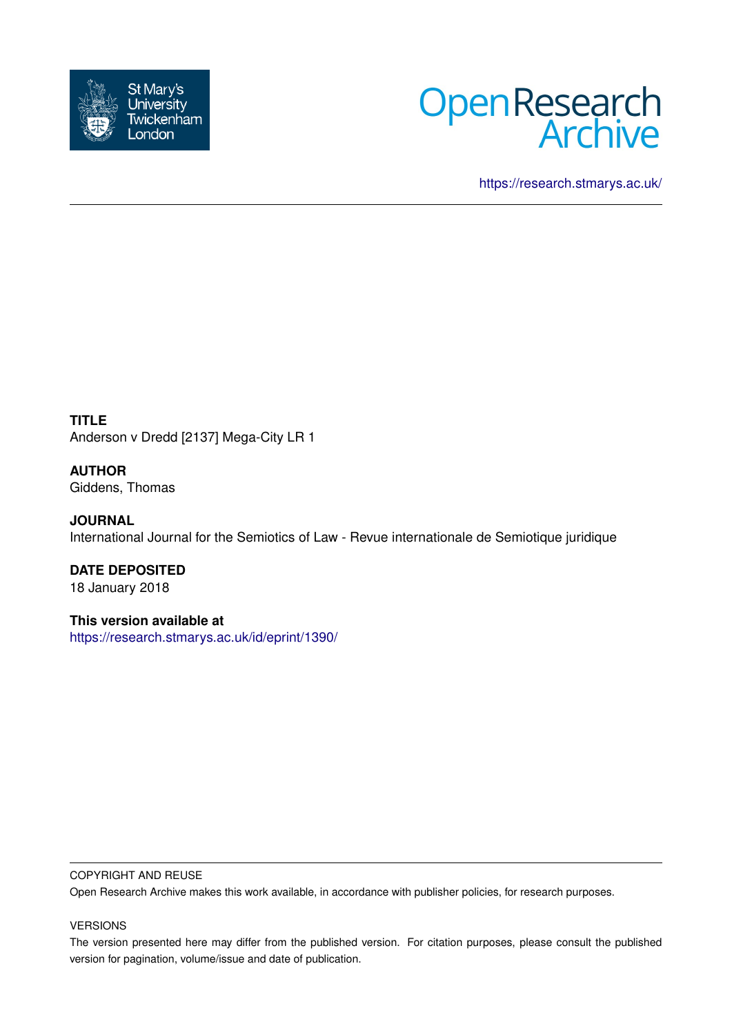



<https://research.stmarys.ac.uk/>

**TITLE** Anderson v Dredd [2137] Mega-City LR 1

**AUTHOR** Giddens, Thomas

**JOURNAL** International Journal for the Semiotics of Law - Revue internationale de Semiotique juridique

**DATE DEPOSITED**

18 January 2018

**This version available at** <https://research.stmarys.ac.uk/id/eprint/1390/>

#### COPYRIGHT AND REUSE

Open Research Archive makes this work available, in accordance with publisher policies, for research purposes.

#### VERSIONS

The version presented here may differ from the published version. For citation purposes, please consult the published version for pagination, volume/issue and date of publication.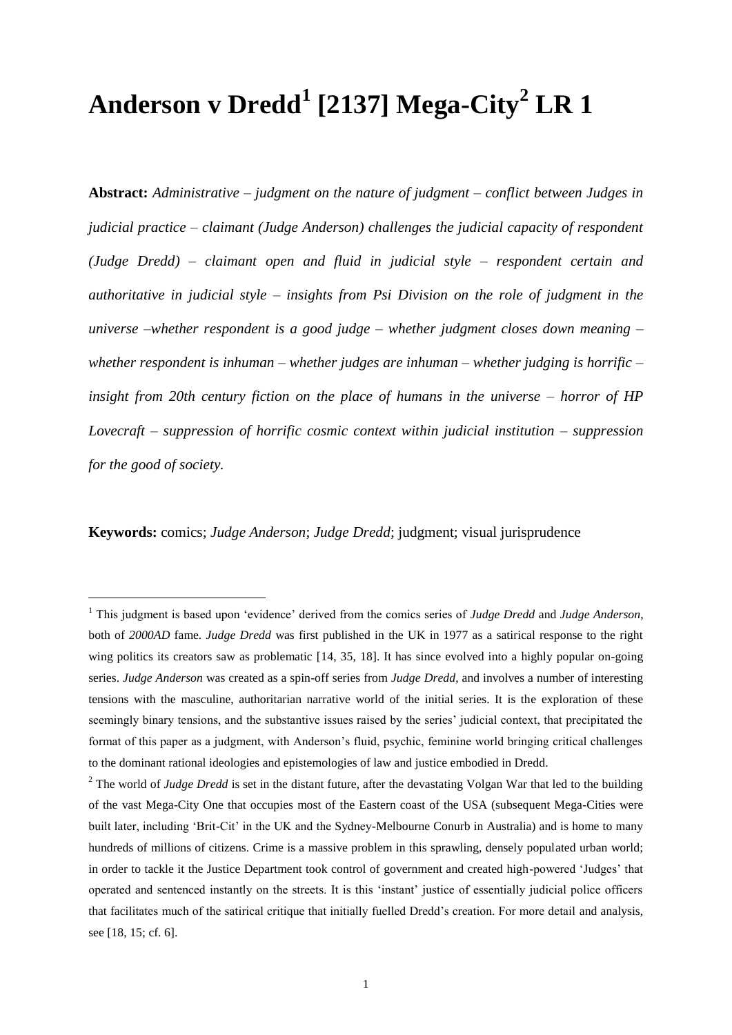# **Anderson v Dredd<sup>1</sup> [2137] Mega-City<sup>2</sup> LR 1**

**Abstract:** *Administrative – judgment on the nature of judgment – conflict between Judges in judicial practice – claimant (Judge Anderson) challenges the judicial capacity of respondent (Judge Dredd) – claimant open and fluid in judicial style – respondent certain and authoritative in judicial style – insights from Psi Division on the role of judgment in the universe –whether respondent is a good judge – whether judgment closes down meaning – whether respondent is inhuman – whether judges are inhuman – whether judging is horrific – insight from 20th century fiction on the place of humans in the universe – horror of HP Lovecraft – suppression of horrific cosmic context within judicial institution – suppression for the good of society.*

**Keywords:** comics; *Judge Anderson*; *Judge Dredd*; judgment; visual jurisprudence

<sup>1</sup> This judgment is based upon 'evidence' derived from the comics series of *Judge Dredd* and *Judge Anderson*, both of *2000AD* fame. *Judge Dredd* was first published in the UK in 1977 as a satirical response to the right wing politics its creators saw as problematic [14, 35, 18]. It has since evolved into a highly popular on-going series. *Judge Anderson* was created as a spin-off series from *Judge Dredd*, and involves a number of interesting tensions with the masculine, authoritarian narrative world of the initial series. It is the exploration of these seemingly binary tensions, and the substantive issues raised by the series' judicial context, that precipitated the format of this paper as a judgment, with Anderson's fluid, psychic, feminine world bringing critical challenges to the dominant rational ideologies and epistemologies of law and justice embodied in Dredd.

<sup>&</sup>lt;sup>2</sup> The world of *Judge Dredd* is set in the distant future, after the devastating Volgan War that led to the building of the vast Mega-City One that occupies most of the Eastern coast of the USA (subsequent Mega-Cities were built later, including 'Brit-Cit' in the UK and the Sydney-Melbourne Conurb in Australia) and is home to many hundreds of millions of citizens. Crime is a massive problem in this sprawling, densely populated urban world; in order to tackle it the Justice Department took control of government and created high-powered 'Judges' that operated and sentenced instantly on the streets. It is this 'instant' justice of essentially judicial police officers that facilitates much of the satirical critique that initially fuelled Dredd's creation. For more detail and analysis, see [18, 15; cf. 6].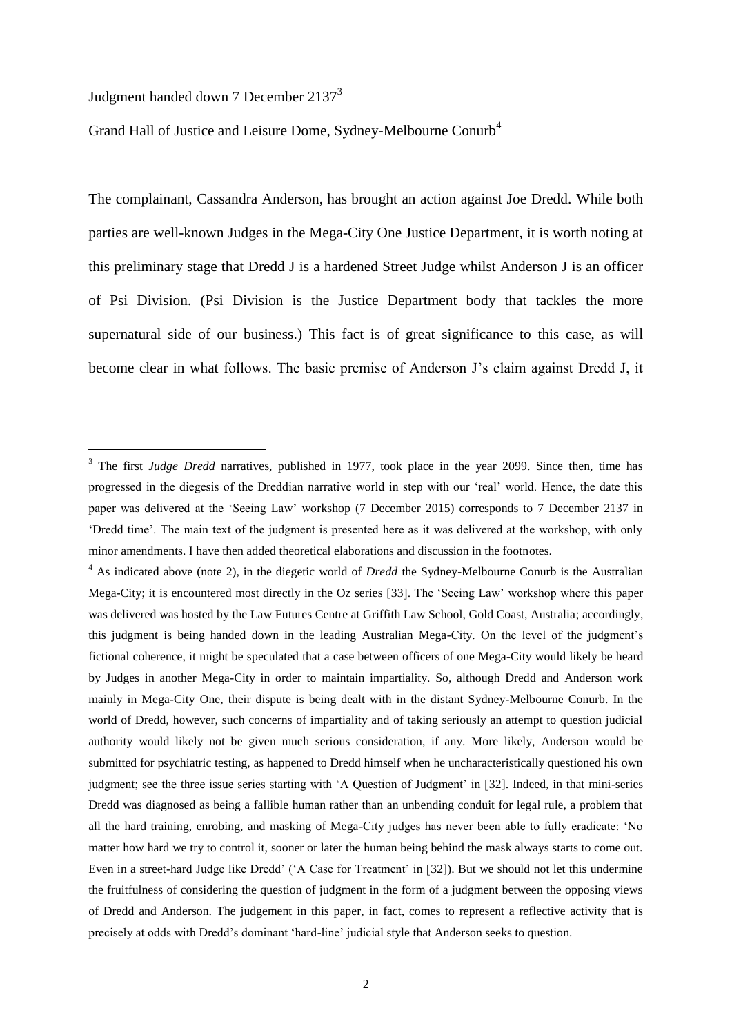## Judgment handed down 7 December 2137<sup>3</sup>

 $\overline{a}$ 

## Grand Hall of Justice and Leisure Dome, Sydney-Melbourne Conurb<sup>4</sup>

The complainant, Cassandra Anderson, has brought an action against Joe Dredd. While both parties are well-known Judges in the Mega-City One Justice Department, it is worth noting at this preliminary stage that Dredd J is a hardened Street Judge whilst Anderson J is an officer of Psi Division. (Psi Division is the Justice Department body that tackles the more supernatural side of our business.) This fact is of great significance to this case, as will become clear in what follows. The basic premise of Anderson J's claim against Dredd J, it

<sup>&</sup>lt;sup>3</sup> The first *Judge Dredd* narratives, published in 1977, took place in the year 2099. Since then, time has progressed in the diegesis of the Dreddian narrative world in step with our 'real' world. Hence, the date this paper was delivered at the 'Seeing Law' workshop (7 December 2015) corresponds to 7 December 2137 in 'Dredd time'. The main text of the judgment is presented here as it was delivered at the workshop, with only minor amendments. I have then added theoretical elaborations and discussion in the footnotes.

<sup>&</sup>lt;sup>4</sup> As indicated above (note 2), in the diegetic world of *Dredd* the Sydney-Melbourne Conurb is the Australian Mega-City; it is encountered most directly in the Oz series [33]. The 'Seeing Law' workshop where this paper was delivered was hosted by the Law Futures Centre at Griffith Law School, Gold Coast, Australia; accordingly, this judgment is being handed down in the leading Australian Mega-City. On the level of the judgment's fictional coherence, it might be speculated that a case between officers of one Mega-City would likely be heard by Judges in another Mega-City in order to maintain impartiality. So, although Dredd and Anderson work mainly in Mega-City One, their dispute is being dealt with in the distant Sydney-Melbourne Conurb. In the world of Dredd, however, such concerns of impartiality and of taking seriously an attempt to question judicial authority would likely not be given much serious consideration, if any. More likely, Anderson would be submitted for psychiatric testing, as happened to Dredd himself when he uncharacteristically questioned his own judgment; see the three issue series starting with 'A Question of Judgment' in [32]. Indeed, in that mini-series Dredd was diagnosed as being a fallible human rather than an unbending conduit for legal rule, a problem that all the hard training, enrobing, and masking of Mega-City judges has never been able to fully eradicate: 'No matter how hard we try to control it, sooner or later the human being behind the mask always starts to come out. Even in a street-hard Judge like Dredd' ('A Case for Treatment' in [32]). But we should not let this undermine the fruitfulness of considering the question of judgment in the form of a judgment between the opposing views of Dredd and Anderson. The judgement in this paper, in fact, comes to represent a reflective activity that is precisely at odds with Dredd's dominant 'hard-line' judicial style that Anderson seeks to question.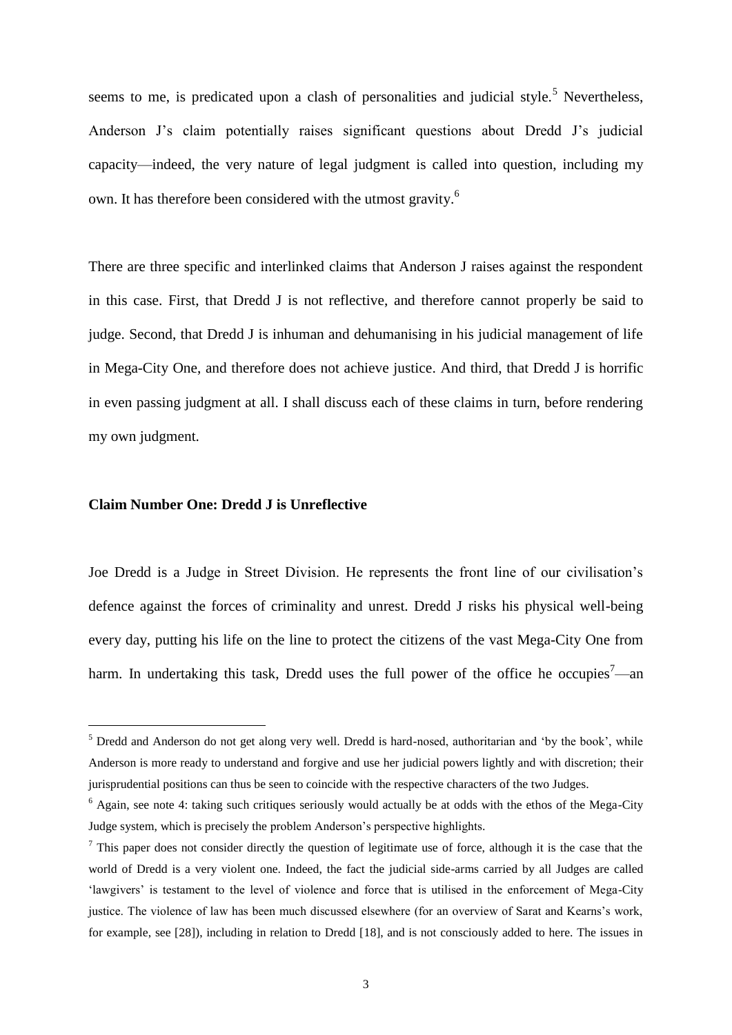seems to me, is predicated upon a clash of personalities and judicial style.<sup>5</sup> Nevertheless, Anderson J's claim potentially raises significant questions about Dredd J's judicial capacity—indeed, the very nature of legal judgment is called into question, including my own. It has therefore been considered with the utmost gravity.<sup>6</sup>

There are three specific and interlinked claims that Anderson J raises against the respondent in this case. First, that Dredd J is not reflective, and therefore cannot properly be said to judge. Second, that Dredd J is inhuman and dehumanising in his judicial management of life in Mega-City One, and therefore does not achieve justice. And third, that Dredd J is horrific in even passing judgment at all. I shall discuss each of these claims in turn, before rendering my own judgment.

#### **Claim Number One: Dredd J is Unreflective**

 $\overline{a}$ 

Joe Dredd is a Judge in Street Division. He represents the front line of our civilisation's defence against the forces of criminality and unrest. Dredd J risks his physical well-being every day, putting his life on the line to protect the citizens of the vast Mega-City One from harm. In undertaking this task, Dredd uses the full power of the office he occupies<sup>7</sup>—an

<sup>&</sup>lt;sup>5</sup> Dredd and Anderson do not get along very well. Dredd is hard-nosed, authoritarian and 'by the book', while Anderson is more ready to understand and forgive and use her judicial powers lightly and with discretion; their jurisprudential positions can thus be seen to coincide with the respective characters of the two Judges.

<sup>&</sup>lt;sup>6</sup> Again, see note 4: taking such critiques seriously would actually be at odds with the ethos of the Mega-City Judge system, which is precisely the problem Anderson's perspective highlights.

 $<sup>7</sup>$  This paper does not consider directly the question of legitimate use of force, although it is the case that the</sup> world of Dredd is a very violent one. Indeed, the fact the judicial side-arms carried by all Judges are called 'lawgivers' is testament to the level of violence and force that is utilised in the enforcement of Mega-City justice. The violence of law has been much discussed elsewhere (for an overview of Sarat and Kearns's work, for example, see [28]), including in relation to Dredd [18], and is not consciously added to here. The issues in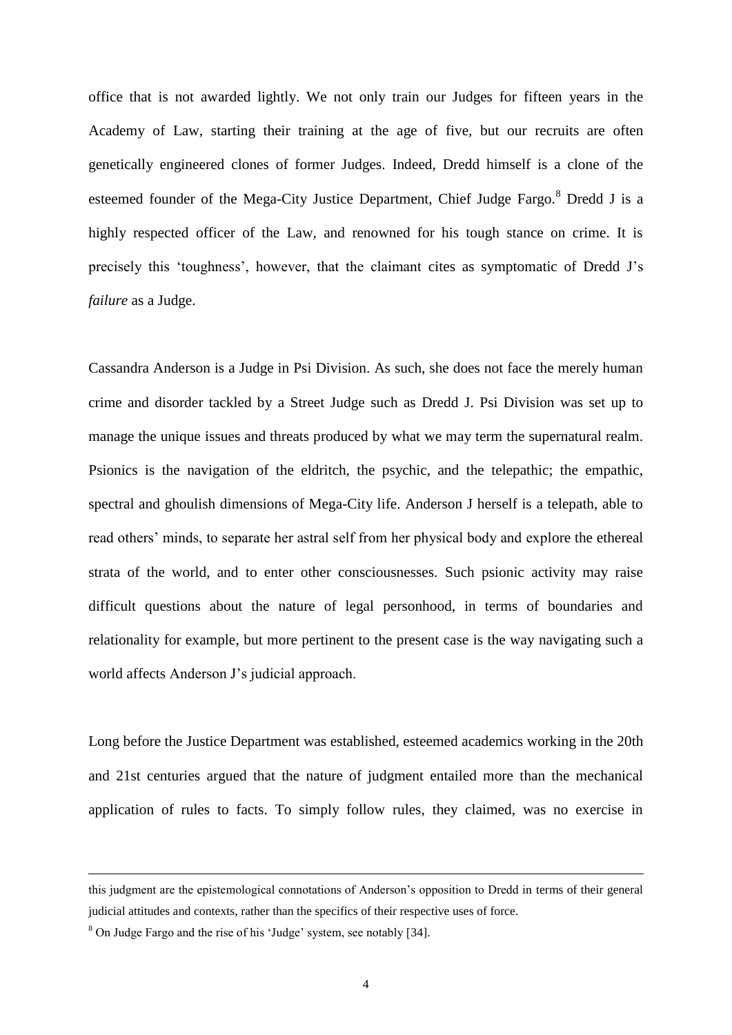office that is not awarded lightly. We not only train our Judges for fifteen years in the Academy of Law, starting their training at the age of five, but our recruits are often genetically engineered clones of former Judges. Indeed, Dredd himself is a clone of the esteemed founder of the Mega-City Justice Department, Chief Judge Fargo.<sup>8</sup> Dredd J is a highly respected officer of the Law, and renowned for his tough stance on crime. It is precisely this 'toughness', however, that the claimant cites as symptomatic of Dredd J's *failure* as a Judge.

Cassandra Anderson is a Judge in Psi Division. As such, she does not face the merely human crime and disorder tackled by a Street Judge such as Dredd J. Psi Division was set up to manage the unique issues and threats produced by what we may term the supernatural realm. Psionics is the navigation of the eldritch, the psychic, and the telepathic; the empathic, spectral and ghoulish dimensions of Mega-City life. Anderson J herself is a telepath, able to read others' minds, to separate her astral self from her physical body and explore the ethereal strata of the world, and to enter other consciousnesses. Such psionic activity may raise difficult questions about the nature of legal personhood, in terms of boundaries and relationality for example, but more pertinent to the present case is the way navigating such a world affects Anderson J's judicial approach.

Long before the Justice Department was established, esteemed academics working in the 20th and 21st centuries argued that the nature of judgment entailed more than the mechanical application of rules to facts. To simply follow rules, they claimed, was no exercise in

this judgment are the epistemological connotations of Anderson's opposition to Dredd in terms of their general judicial attitudes and contexts, rather than the specifics of their respective uses of force.

<sup>8</sup> On Judge Fargo and the rise of his 'Judge' system, see notably [34].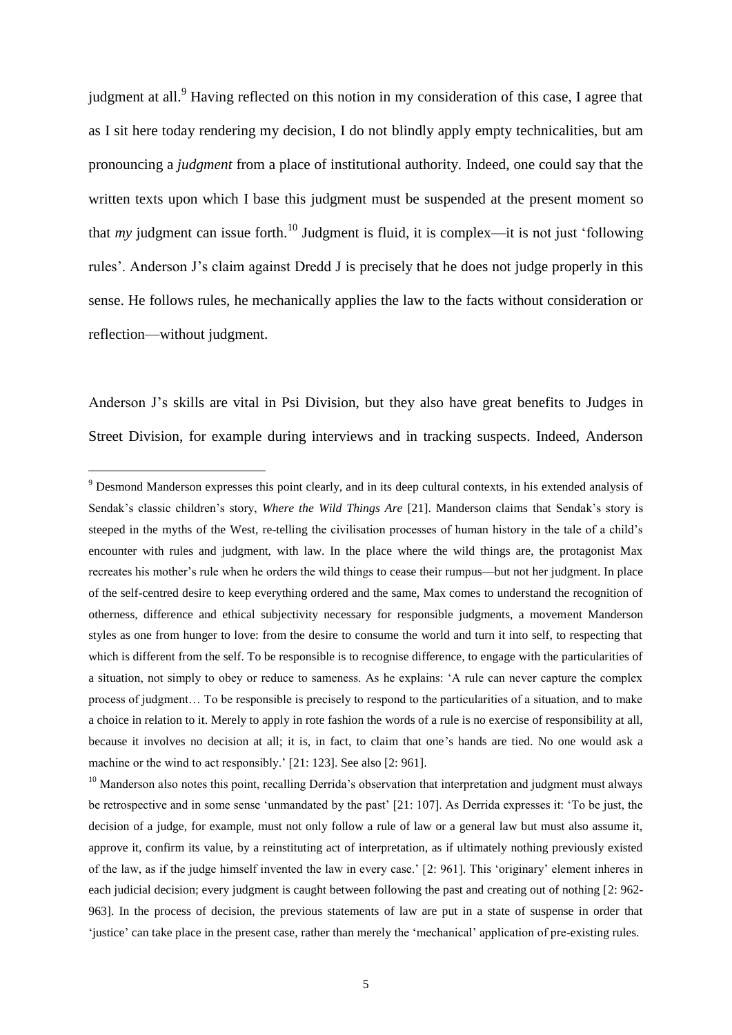judgment at all.<sup>9</sup> Having reflected on this notion in my consideration of this case. I agree that as I sit here today rendering my decision, I do not blindly apply empty technicalities, but am pronouncing a *judgment* from a place of institutional authority. Indeed, one could say that the written texts upon which I base this judgment must be suspended at the present moment so that *my* judgment can issue forth.<sup>10</sup> Judgment is fluid, it is complex—it is not just 'following rules'. Anderson J's claim against Dredd J is precisely that he does not judge properly in this sense. He follows rules, he mechanically applies the law to the facts without consideration or reflection—without judgment.

Anderson J's skills are vital in Psi Division, but they also have great benefits to Judges in Street Division, for example during interviews and in tracking suspects. Indeed, Anderson

<sup>&</sup>lt;sup>9</sup> Desmond Manderson expresses this point clearly, and in its deep cultural contexts, in his extended analysis of Sendak's classic children's story, *Where the Wild Things Are* [21]. Manderson claims that Sendak's story is steeped in the myths of the West, re-telling the civilisation processes of human history in the tale of a child's encounter with rules and judgment, with law. In the place where the wild things are, the protagonist Max recreates his mother's rule when he orders the wild things to cease their rumpus—but not her judgment. In place of the self-centred desire to keep everything ordered and the same, Max comes to understand the recognition of otherness, difference and ethical subjectivity necessary for responsible judgments, a movement Manderson styles as one from hunger to love: from the desire to consume the world and turn it into self, to respecting that which is different from the self. To be responsible is to recognise difference, to engage with the particularities of a situation, not simply to obey or reduce to sameness. As he explains: 'A rule can never capture the complex process of judgment… To be responsible is precisely to respond to the particularities of a situation, and to make a choice in relation to it. Merely to apply in rote fashion the words of a rule is no exercise of responsibility at all, because it involves no decision at all; it is, in fact, to claim that one's hands are tied. No one would ask a machine or the wind to act responsibly.' [21: 123]. See also [2: 961].

 $10$  Manderson also notes this point, recalling Derrida's observation that interpretation and judgment must always be retrospective and in some sense 'unmandated by the past' [21: 107]. As Derrida expresses it: 'To be just, the decision of a judge, for example, must not only follow a rule of law or a general law but must also assume it, approve it, confirm its value, by a reinstituting act of interpretation, as if ultimately nothing previously existed of the law, as if the judge himself invented the law in every case.' [2: 961]. This 'originary' element inheres in each judicial decision; every judgment is caught between following the past and creating out of nothing [2: 962- 963]. In the process of decision, the previous statements of law are put in a state of suspense in order that 'justice' can take place in the present case, rather than merely the 'mechanical' application of pre-existing rules.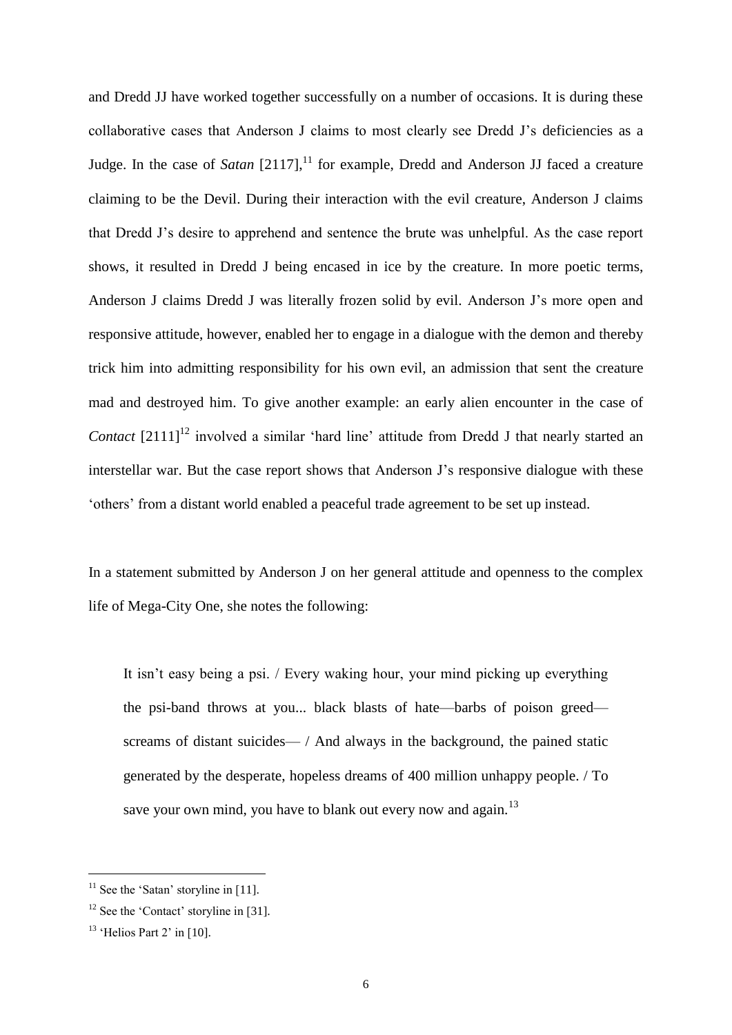and Dredd JJ have worked together successfully on a number of occasions. It is during these collaborative cases that Anderson J claims to most clearly see Dredd J's deficiencies as a Judge. In the case of *Satan*  $[2117]$ ,<sup>11</sup> for example, Dredd and Anderson JJ faced a creature claiming to be the Devil. During their interaction with the evil creature, Anderson J claims that Dredd J's desire to apprehend and sentence the brute was unhelpful. As the case report shows, it resulted in Dredd J being encased in ice by the creature. In more poetic terms, Anderson J claims Dredd J was literally frozen solid by evil. Anderson J's more open and responsive attitude, however, enabled her to engage in a dialogue with the demon and thereby trick him into admitting responsibility for his own evil, an admission that sent the creature mad and destroyed him. To give another example: an early alien encounter in the case of Contact [2111]<sup>12</sup> involved a similar 'hard line' attitude from Dredd J that nearly started an interstellar war. But the case report shows that Anderson J's responsive dialogue with these 'others' from a distant world enabled a peaceful trade agreement to be set up instead.

In a statement submitted by Anderson J on her general attitude and openness to the complex life of Mega-City One, she notes the following:

It isn't easy being a psi. / Every waking hour, your mind picking up everything the psi-band throws at you... black blasts of hate—barbs of poison greed screams of distant suicides— / And always in the background, the pained static generated by the desperate, hopeless dreams of 400 million unhappy people. / To save your own mind, you have to blank out every now and again.<sup>13</sup>

 $11$  See the 'Satan' storyline in [11].

 $12$  See the 'Contact' storyline in [31].

 $13$  'Helios Part 2' in [10].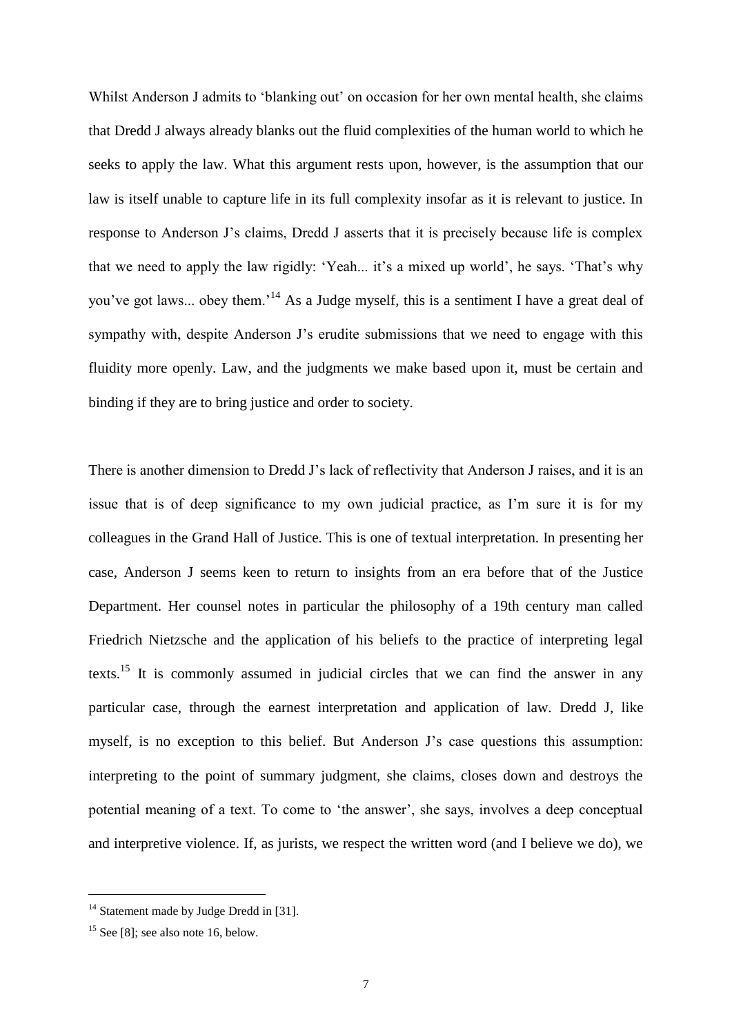Whilst Anderson J admits to 'blanking out' on occasion for her own mental health, she claims that Dredd J always already blanks out the fluid complexities of the human world to which he seeks to apply the law. What this argument rests upon, however, is the assumption that our law is itself unable to capture life in its full complexity insofar as it is relevant to justice. In response to Anderson J's claims, Dredd J asserts that it is precisely because life is complex that we need to apply the law rigidly: 'Yeah... it's a mixed up world', he says. 'That's why you've got laws... obey them.<sup>14</sup> As a Judge myself, this is a sentiment I have a great deal of sympathy with, despite Anderson J's erudite submissions that we need to engage with this fluidity more openly. Law, and the judgments we make based upon it, must be certain and binding if they are to bring justice and order to society.

There is another dimension to Dredd J's lack of reflectivity that Anderson J raises, and it is an issue that is of deep significance to my own judicial practice, as I'm sure it is for my colleagues in the Grand Hall of Justice. This is one of textual interpretation. In presenting her case, Anderson J seems keen to return to insights from an era before that of the Justice Department. Her counsel notes in particular the philosophy of a 19th century man called Friedrich Nietzsche and the application of his beliefs to the practice of interpreting legal texts.<sup>15</sup> It is commonly assumed in judicial circles that we can find the answer in any particular case, through the earnest interpretation and application of law. Dredd J, like myself, is no exception to this belief. But Anderson J's case questions this assumption: interpreting to the point of summary judgment, she claims, closes down and destroys the potential meaning of a text. To come to 'the answer', she says, involves a deep conceptual and interpretive violence. If, as jurists, we respect the written word (and I believe we do), we

<sup>&</sup>lt;sup>14</sup> Statement made by Judge Dredd in [31].

 $15$  See [8]; see also note 16, below.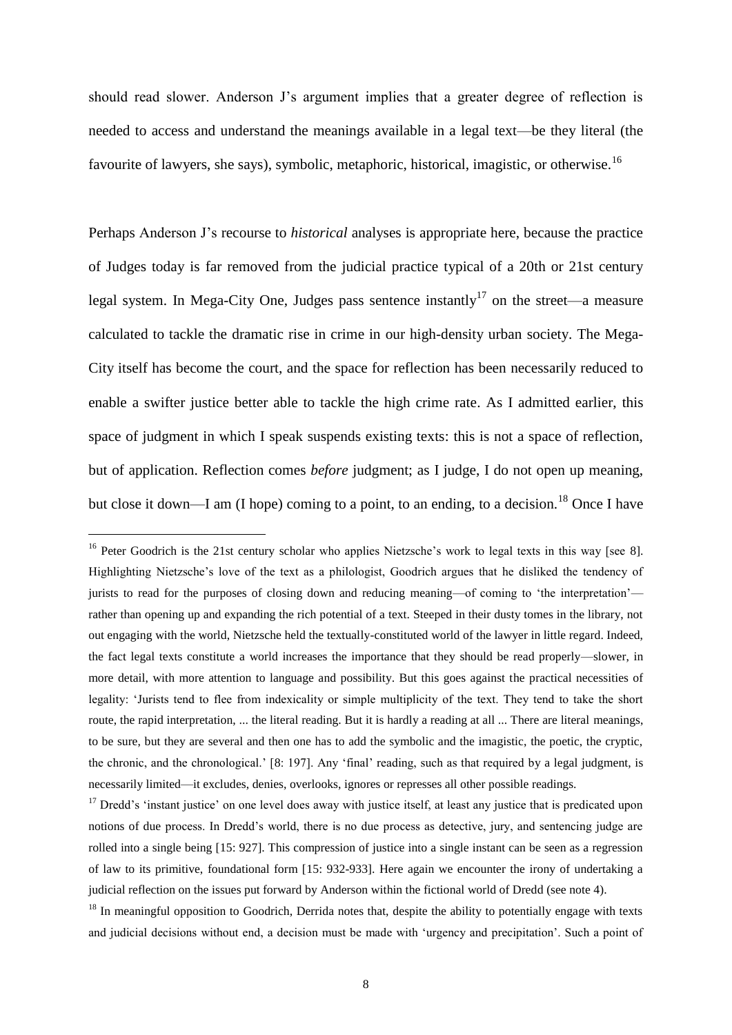should read slower. Anderson J's argument implies that a greater degree of reflection is needed to access and understand the meanings available in a legal text—be they literal (the favourite of lawyers, she says), symbolic, metaphoric, historical, imagistic, or otherwise.<sup>16</sup>

Perhaps Anderson J's recourse to *historical* analyses is appropriate here, because the practice of Judges today is far removed from the judicial practice typical of a 20th or 21st century legal system. In Mega-City One, Judges pass sentence instantly<sup>17</sup> on the street—a measure calculated to tackle the dramatic rise in crime in our high-density urban society. The Mega-City itself has become the court, and the space for reflection has been necessarily reduced to enable a swifter justice better able to tackle the high crime rate. As I admitted earlier, this space of judgment in which I speak suspends existing texts: this is not a space of reflection, but of application. Reflection comes *before* judgment; as I judge, I do not open up meaning, but close it down—I am (I hope) coming to a point, to an ending, to a decision.<sup>18</sup> Once I have

<u>.</u>

<sup>&</sup>lt;sup>16</sup> Peter Goodrich is the 21st century scholar who applies Nietzsche's work to legal texts in this way [see 8]. Highlighting Nietzsche's love of the text as a philologist, Goodrich argues that he disliked the tendency of jurists to read for the purposes of closing down and reducing meaning—of coming to 'the interpretation' rather than opening up and expanding the rich potential of a text. Steeped in their dusty tomes in the library, not out engaging with the world, Nietzsche held the textually-constituted world of the lawyer in little regard. Indeed, the fact legal texts constitute a world increases the importance that they should be read properly—slower, in more detail, with more attention to language and possibility. But this goes against the practical necessities of legality: 'Jurists tend to flee from indexicality or simple multiplicity of the text. They tend to take the short route, the rapid interpretation, ... the literal reading. But it is hardly a reading at all ... There are literal meanings, to be sure, but they are several and then one has to add the symbolic and the imagistic, the poetic, the cryptic, the chronic, and the chronological.' [8: 197]. Any 'final' reading, such as that required by a legal judgment, is necessarily limited—it excludes, denies, overlooks, ignores or represses all other possible readings.

 $17$  Dredd's 'instant justice' on one level does away with justice itself, at least any justice that is predicated upon notions of due process. In Dredd's world, there is no due process as detective, jury, and sentencing judge are rolled into a single being [15: 927]. This compression of justice into a single instant can be seen as a regression of law to its primitive, foundational form [15: 932-933]. Here again we encounter the irony of undertaking a judicial reflection on the issues put forward by Anderson within the fictional world of Dredd (see note 4).

 $18$  In meaningful opposition to Goodrich, Derrida notes that, despite the ability to potentially engage with texts and judicial decisions without end, a decision must be made with 'urgency and precipitation'. Such a point of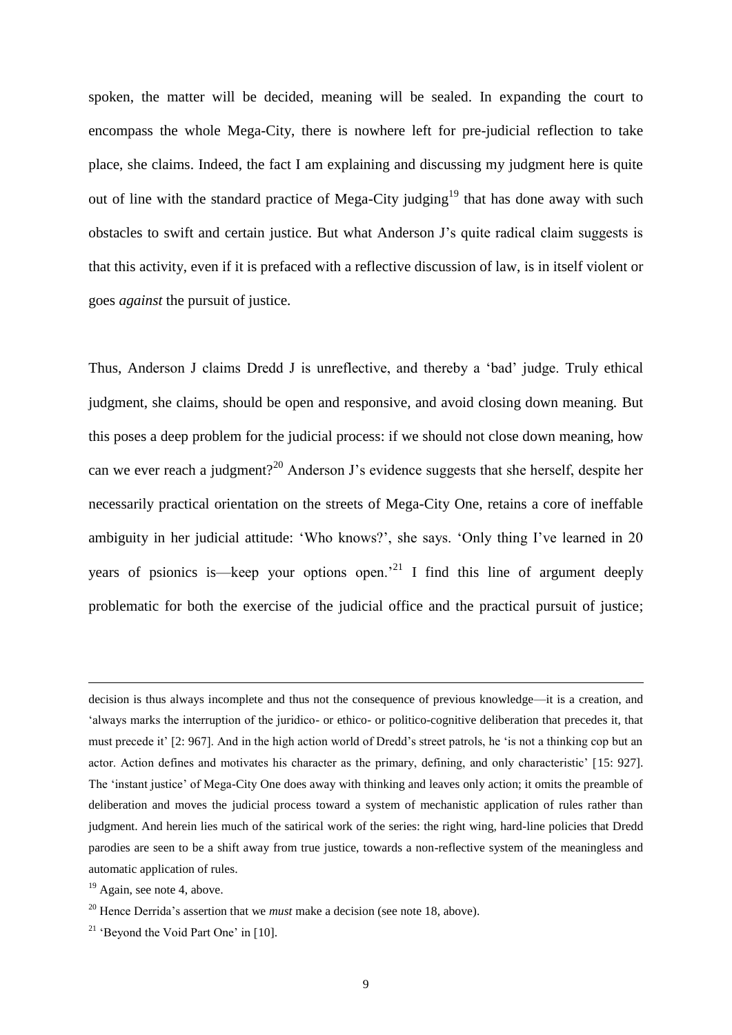spoken, the matter will be decided, meaning will be sealed. In expanding the court to encompass the whole Mega-City, there is nowhere left for pre-judicial reflection to take place, she claims. Indeed, the fact I am explaining and discussing my judgment here is quite out of line with the standard practice of Mega-City judging<sup>19</sup> that has done away with such obstacles to swift and certain justice. But what Anderson J's quite radical claim suggests is that this activity, even if it is prefaced with a reflective discussion of law, is in itself violent or goes *against* the pursuit of justice.

Thus, Anderson J claims Dredd J is unreflective, and thereby a 'bad' judge. Truly ethical judgment, she claims, should be open and responsive, and avoid closing down meaning. But this poses a deep problem for the judicial process: if we should not close down meaning, how can we ever reach a judgment?<sup>20</sup> Anderson J's evidence suggests that she herself, despite her necessarily practical orientation on the streets of Mega-City One, retains a core of ineffable ambiguity in her judicial attitude: 'Who knows?', she says. 'Only thing I've learned in 20 years of psionics is—keep your options open.<sup>21</sup> I find this line of argument deeply problematic for both the exercise of the judicial office and the practical pursuit of justice;

decision is thus always incomplete and thus not the consequence of previous knowledge—it is a creation, and 'always marks the interruption of the juridico- or ethico- or politico-cognitive deliberation that precedes it, that must precede it' [2: 967]. And in the high action world of Dredd's street patrols, he 'is not a thinking cop but an actor. Action defines and motivates his character as the primary, defining, and only characteristic' [15: 927]. The 'instant justice' of Mega-City One does away with thinking and leaves only action; it omits the preamble of deliberation and moves the judicial process toward a system of mechanistic application of rules rather than judgment. And herein lies much of the satirical work of the series: the right wing, hard-line policies that Dredd parodies are seen to be a shift away from true justice, towards a non-reflective system of the meaningless and automatic application of rules.

<u>.</u>

<sup>&</sup>lt;sup>19</sup> Again, see note 4, above.

<sup>20</sup> Hence Derrida's assertion that we *must* make a decision (see note 18, above).

<sup>&</sup>lt;sup>21</sup> 'Beyond the Void Part One' in [10].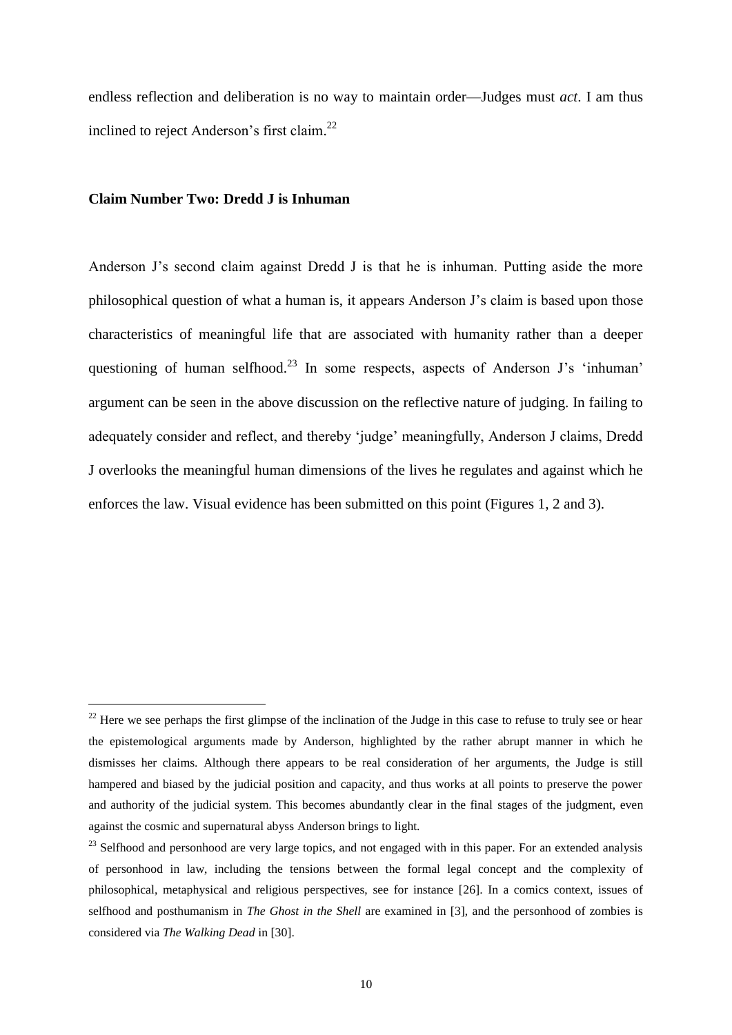endless reflection and deliberation is no way to maintain order—Judges must *act*. I am thus inclined to reject Anderson's first claim.<sup>22</sup>

#### **Claim Number Two: Dredd J is Inhuman**

 $\overline{a}$ 

Anderson J's second claim against Dredd J is that he is inhuman. Putting aside the more philosophical question of what a human is, it appears Anderson J's claim is based upon those characteristics of meaningful life that are associated with humanity rather than a deeper questioning of human selfhood.<sup>23</sup> In some respects, aspects of Anderson J's 'inhuman' argument can be seen in the above discussion on the reflective nature of judging. In failing to adequately consider and reflect, and thereby 'judge' meaningfully, Anderson J claims, Dredd J overlooks the meaningful human dimensions of the lives he regulates and against which he enforces the law. Visual evidence has been submitted on this point (Figures 1, 2 and 3).

 $22$  Here we see perhaps the first glimpse of the inclination of the Judge in this case to refuse to truly see or hear the epistemological arguments made by Anderson, highlighted by the rather abrupt manner in which he dismisses her claims. Although there appears to be real consideration of her arguments, the Judge is still hampered and biased by the judicial position and capacity, and thus works at all points to preserve the power and authority of the judicial system. This becomes abundantly clear in the final stages of the judgment, even against the cosmic and supernatural abyss Anderson brings to light.

<sup>&</sup>lt;sup>23</sup> Selfhood and personhood are very large topics, and not engaged with in this paper. For an extended analysis of personhood in law, including the tensions between the formal legal concept and the complexity of philosophical, metaphysical and religious perspectives, see for instance [26]. In a comics context, issues of selfhood and posthumanism in *The Ghost in the Shell* are examined in [3], and the personhood of zombies is considered via *The Walking Dead* in [30].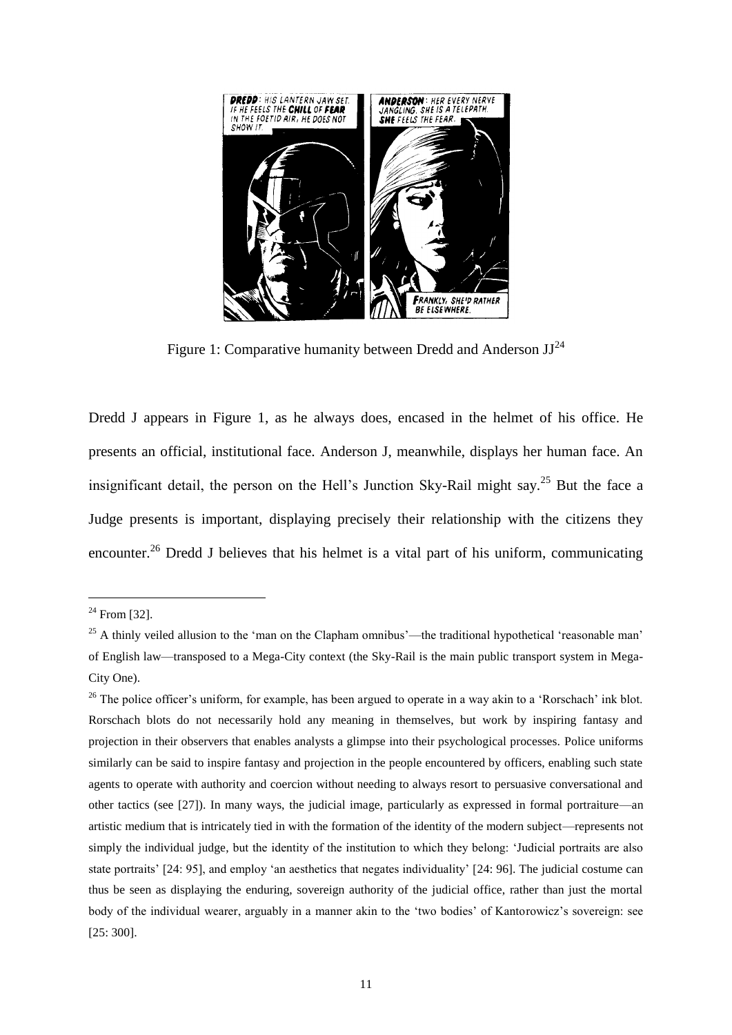

Figure 1: Comparative humanity between Dredd and Anderson  $JJ^{24}$ 

Dredd J appears in Figure 1, as he always does, encased in the helmet of his office. He presents an official, institutional face. Anderson J, meanwhile, displays her human face. An insignificant detail, the person on the Hell's Junction Sky-Rail might say.<sup>25</sup> But the face a Judge presents is important, displaying precisely their relationship with the citizens they encounter.<sup>26</sup> Dredd J believes that his helmet is a vital part of his uniform, communicating

 $24$  From [32].

<sup>&</sup>lt;sup>25</sup> A thinly veiled allusion to the 'man on the Clapham omnibus'—the traditional hypothetical 'reasonable man' of English law—transposed to a Mega-City context (the Sky-Rail is the main public transport system in Mega-City One).

<sup>&</sup>lt;sup>26</sup> The police officer's uniform, for example, has been argued to operate in a way akin to a 'Rorschach' ink blot. Rorschach blots do not necessarily hold any meaning in themselves, but work by inspiring fantasy and projection in their observers that enables analysts a glimpse into their psychological processes. Police uniforms similarly can be said to inspire fantasy and projection in the people encountered by officers, enabling such state agents to operate with authority and coercion without needing to always resort to persuasive conversational and other tactics (see [27]). In many ways, the judicial image, particularly as expressed in formal portraiture—an artistic medium that is intricately tied in with the formation of the identity of the modern subject—represents not simply the individual judge, but the identity of the institution to which they belong: 'Judicial portraits are also state portraits' [24: 95], and employ 'an aesthetics that negates individuality' [24: 96]. The judicial costume can thus be seen as displaying the enduring, sovereign authority of the judicial office, rather than just the mortal body of the individual wearer, arguably in a manner akin to the 'two bodies' of Kantorowicz's sovereign: see [25: 300].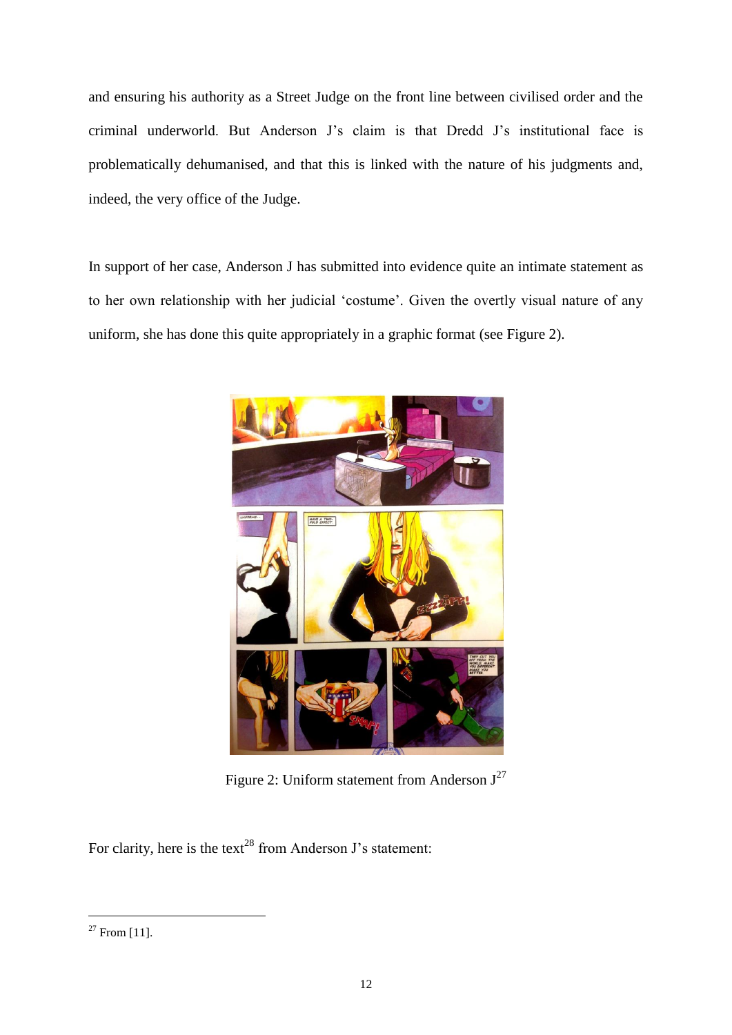and ensuring his authority as a Street Judge on the front line between civilised order and the criminal underworld. But Anderson J's claim is that Dredd J's institutional face is problematically dehumanised, and that this is linked with the nature of his judgments and, indeed, the very office of the Judge.

In support of her case, Anderson J has submitted into evidence quite an intimate statement as to her own relationship with her judicial 'costume'. Given the overtly visual nature of any uniform, she has done this quite appropriately in a graphic format (see Figure 2).



Figure 2: Uniform statement from Anderson  $J^{27}$ 

For clarity, here is the text<sup>28</sup> from Anderson J's statement:

 $27$  From [11].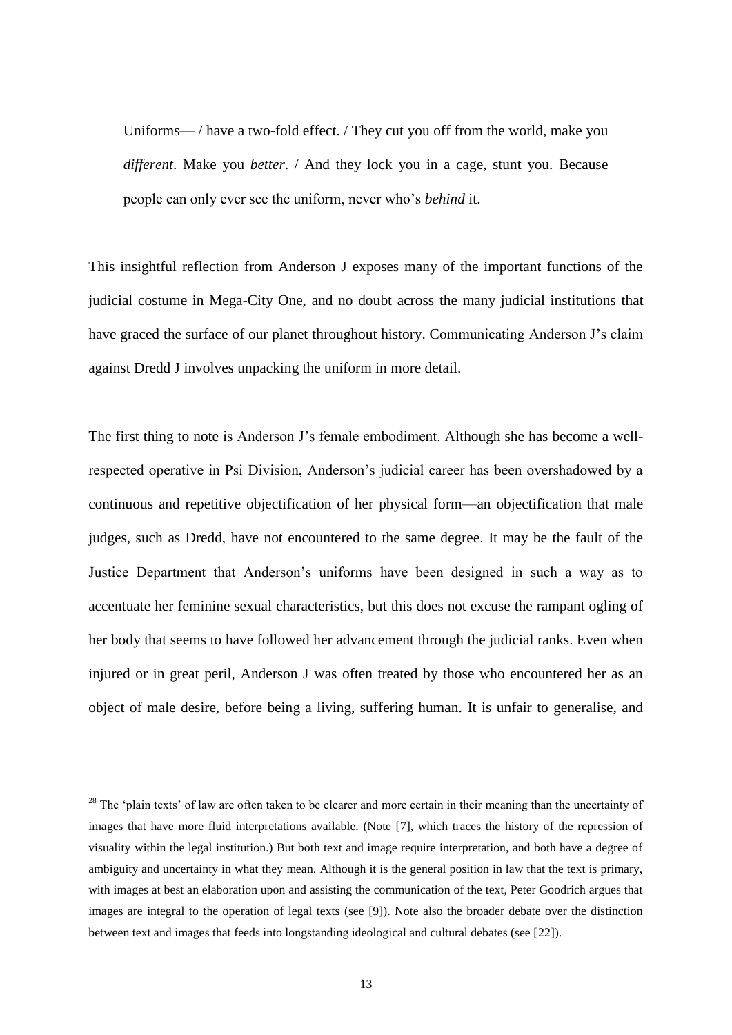Uniforms— / have a two-fold effect. / They cut you off from the world, make you *different*. Make you *better*. / And they lock you in a cage, stunt you. Because people can only ever see the uniform, never who's *behind* it.

This insightful reflection from Anderson J exposes many of the important functions of the judicial costume in Mega-City One, and no doubt across the many judicial institutions that have graced the surface of our planet throughout history. Communicating Anderson J's claim against Dredd J involves unpacking the uniform in more detail.

The first thing to note is Anderson J's female embodiment. Although she has become a wellrespected operative in Psi Division, Anderson's judicial career has been overshadowed by a continuous and repetitive objectification of her physical form—an objectification that male judges, such as Dredd, have not encountered to the same degree. It may be the fault of the Justice Department that Anderson's uniforms have been designed in such a way as to accentuate her feminine sexual characteristics, but this does not excuse the rampant ogling of her body that seems to have followed her advancement through the judicial ranks. Even when injured or in great peril, Anderson J was often treated by those who encountered her as an object of male desire, before being a living, suffering human. It is unfair to generalise, and

 $28$  The 'plain texts' of law are often taken to be clearer and more certain in their meaning than the uncertainty of images that have more fluid interpretations available. (Note [7], which traces the history of the repression of visuality within the legal institution.) But both text and image require interpretation, and both have a degree of ambiguity and uncertainty in what they mean. Although it is the general position in law that the text is primary, with images at best an elaboration upon and assisting the communication of the text, Peter Goodrich argues that images are integral to the operation of legal texts (see [9]). Note also the broader debate over the distinction between text and images that feeds into longstanding ideological and cultural debates (see [22]).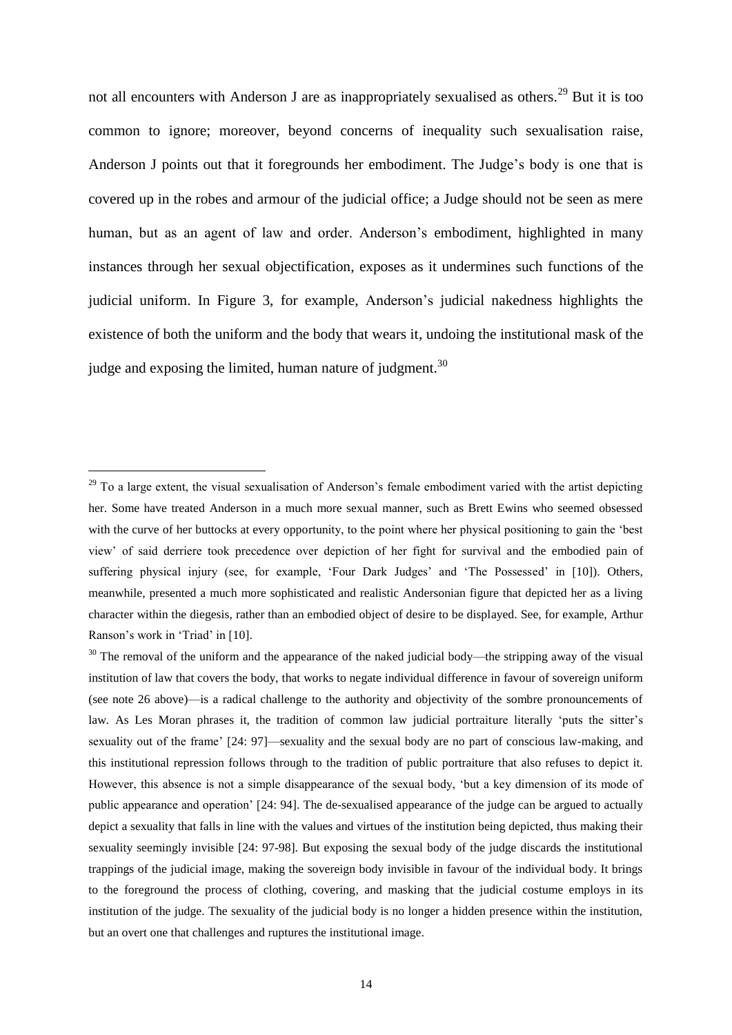not all encounters with Anderson J are as inappropriately sexualised as others.<sup>29</sup> But it is too common to ignore; moreover, beyond concerns of inequality such sexualisation raise, Anderson J points out that it foregrounds her embodiment. The Judge's body is one that is covered up in the robes and armour of the judicial office; a Judge should not be seen as mere human, but as an agent of law and order. Anderson's embodiment, highlighted in many instances through her sexual objectification, exposes as it undermines such functions of the judicial uniform. In Figure 3, for example, Anderson's judicial nakedness highlights the existence of both the uniform and the body that wears it, undoing the institutional mask of the judge and exposing the limited, human nature of judgment.<sup>30</sup>

<sup>&</sup>lt;sup>29</sup> To a large extent, the visual sexualisation of Anderson's female embodiment varied with the artist depicting her. Some have treated Anderson in a much more sexual manner, such as Brett Ewins who seemed obsessed with the curve of her buttocks at every opportunity, to the point where her physical positioning to gain the 'best view' of said derriere took precedence over depiction of her fight for survival and the embodied pain of suffering physical injury (see, for example, 'Four Dark Judges' and 'The Possessed' in [10]). Others, meanwhile, presented a much more sophisticated and realistic Andersonian figure that depicted her as a living character within the diegesis, rather than an embodied object of desire to be displayed. See, for example, Arthur Ranson's work in 'Triad' in [10].

<sup>&</sup>lt;sup>30</sup> The removal of the uniform and the appearance of the naked judicial body—the stripping away of the visual institution of law that covers the body, that works to negate individual difference in favour of sovereign uniform (see note 26 above)—is a radical challenge to the authority and objectivity of the sombre pronouncements of law. As Les Moran phrases it, the tradition of common law judicial portraiture literally 'puts the sitter's sexuality out of the frame' [24: 97]—sexuality and the sexual body are no part of conscious law-making, and this institutional repression follows through to the tradition of public portraiture that also refuses to depict it. However, this absence is not a simple disappearance of the sexual body, 'but a key dimension of its mode of public appearance and operation' [24: 94]. The de-sexualised appearance of the judge can be argued to actually depict a sexuality that falls in line with the values and virtues of the institution being depicted, thus making their sexuality seemingly invisible [24: 97-98]. But exposing the sexual body of the judge discards the institutional trappings of the judicial image, making the sovereign body invisible in favour of the individual body. It brings to the foreground the process of clothing, covering, and masking that the judicial costume employs in its institution of the judge. The sexuality of the judicial body is no longer a hidden presence within the institution, but an overt one that challenges and ruptures the institutional image.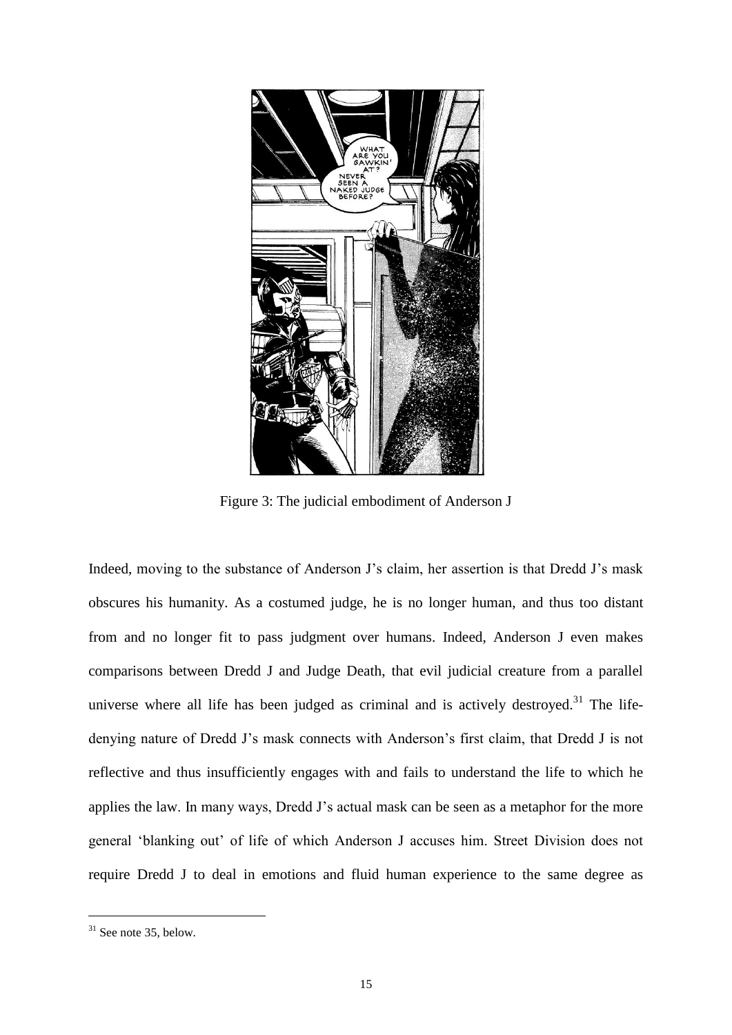

Figure 3: The judicial embodiment of Anderson J

Indeed, moving to the substance of Anderson J's claim, her assertion is that Dredd J's mask obscures his humanity. As a costumed judge, he is no longer human, and thus too distant from and no longer fit to pass judgment over humans. Indeed, Anderson J even makes comparisons between Dredd J and Judge Death, that evil judicial creature from a parallel universe where all life has been judged as criminal and is actively destroyed.<sup>31</sup> The lifedenying nature of Dredd J's mask connects with Anderson's first claim, that Dredd J is not reflective and thus insufficiently engages with and fails to understand the life to which he applies the law. In many ways, Dredd J's actual mask can be seen as a metaphor for the more general 'blanking out' of life of which Anderson J accuses him. Street Division does not require Dredd J to deal in emotions and fluid human experience to the same degree as

 $31$  See note 35, below.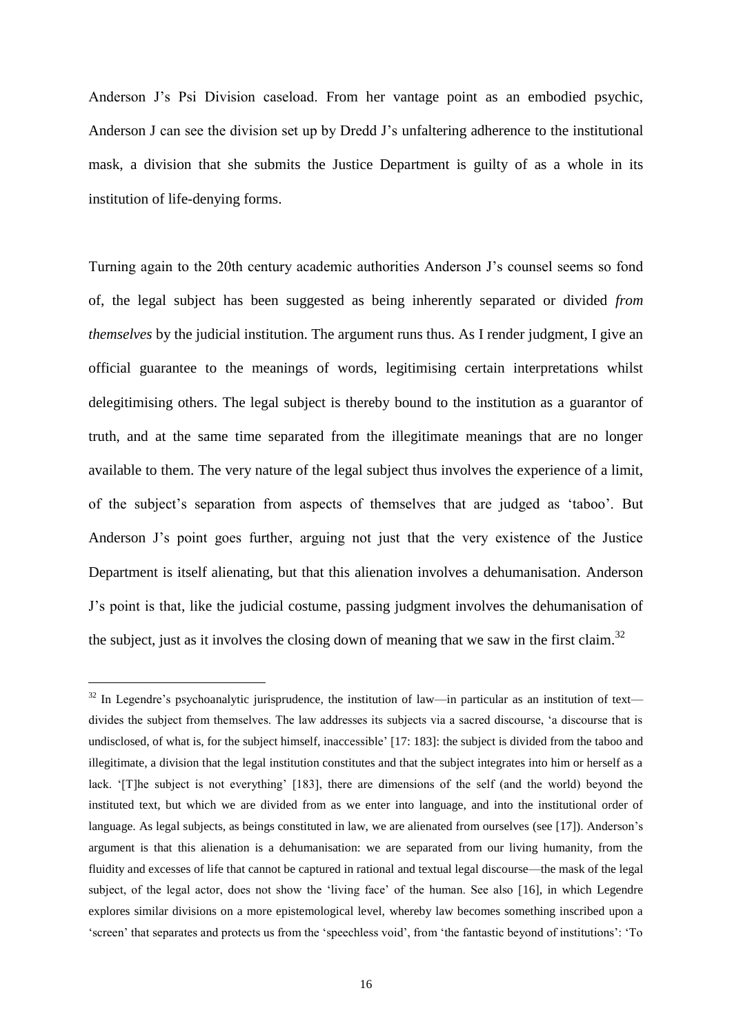Anderson J's Psi Division caseload. From her vantage point as an embodied psychic, Anderson J can see the division set up by Dredd J's unfaltering adherence to the institutional mask, a division that she submits the Justice Department is guilty of as a whole in its institution of life-denying forms.

Turning again to the 20th century academic authorities Anderson J's counsel seems so fond of, the legal subject has been suggested as being inherently separated or divided *from themselves* by the judicial institution. The argument runs thus. As I render judgment, I give an official guarantee to the meanings of words, legitimising certain interpretations whilst delegitimising others. The legal subject is thereby bound to the institution as a guarantor of truth, and at the same time separated from the illegitimate meanings that are no longer available to them. The very nature of the legal subject thus involves the experience of a limit, of the subject's separation from aspects of themselves that are judged as 'taboo'. But Anderson J's point goes further, arguing not just that the very existence of the Justice Department is itself alienating, but that this alienation involves a dehumanisation. Anderson J's point is that, like the judicial costume, passing judgment involves the dehumanisation of the subject, just as it involves the closing down of meaning that we saw in the first claim.<sup>32</sup>

<u>.</u>

 $32$  In Legendre's psychoanalytic jurisprudence, the institution of law—in particular as an institution of text divides the subject from themselves. The law addresses its subjects via a sacred discourse, 'a discourse that is undisclosed, of what is, for the subject himself, inaccessible' [17: 183]: the subject is divided from the taboo and illegitimate, a division that the legal institution constitutes and that the subject integrates into him or herself as a lack. '[T]he subject is not everything' [183], there are dimensions of the self (and the world) beyond the instituted text, but which we are divided from as we enter into language, and into the institutional order of language. As legal subjects, as beings constituted in law, we are alienated from ourselves (see [17]). Anderson's argument is that this alienation is a dehumanisation: we are separated from our living humanity, from the fluidity and excesses of life that cannot be captured in rational and textual legal discourse—the mask of the legal subject, of the legal actor, does not show the 'living face' of the human. See also [16], in which Legendre explores similar divisions on a more epistemological level, whereby law becomes something inscribed upon a 'screen' that separates and protects us from the 'speechless void', from 'the fantastic beyond of institutions': 'To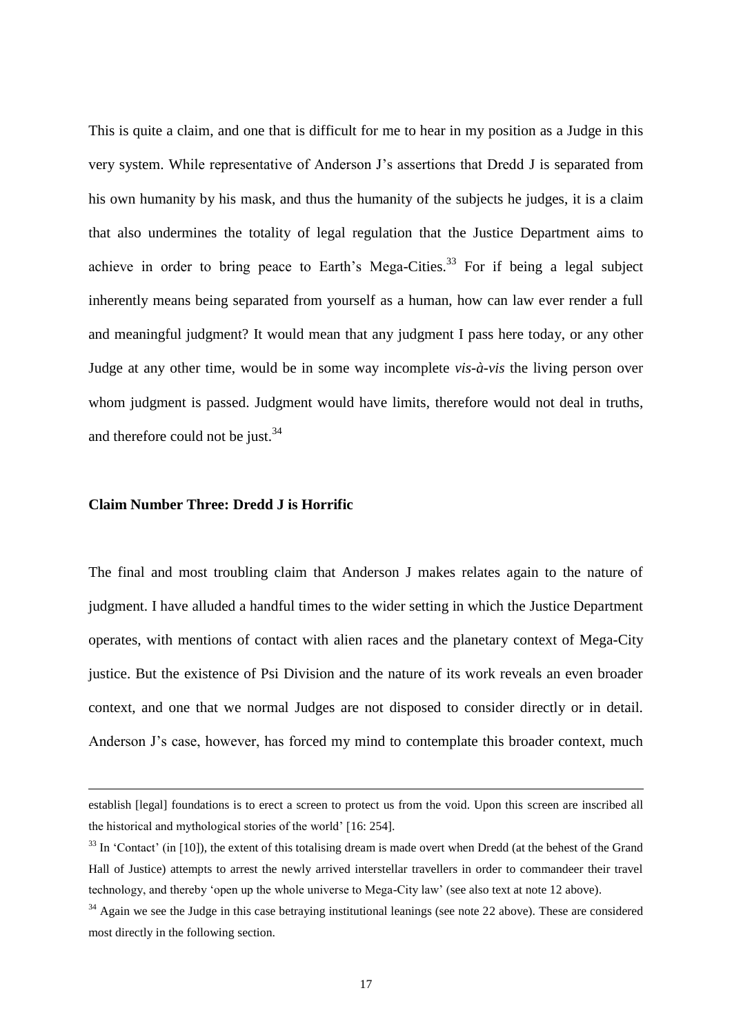This is quite a claim, and one that is difficult for me to hear in my position as a Judge in this very system. While representative of Anderson J's assertions that Dredd J is separated from his own humanity by his mask, and thus the humanity of the subjects he judges, it is a claim that also undermines the totality of legal regulation that the Justice Department aims to achieve in order to bring peace to Earth's Mega-Cities.<sup>33</sup> For if being a legal subject inherently means being separated from yourself as a human, how can law ever render a full and meaningful judgment? It would mean that any judgment I pass here today, or any other Judge at any other time, would be in some way incomplete *vis-à-vis* the living person over whom judgment is passed. Judgment would have limits, therefore would not deal in truths, and therefore could not be just.<sup>34</sup>

## **Claim Number Three: Dredd J is Horrific**

 $\overline{a}$ 

The final and most troubling claim that Anderson J makes relates again to the nature of judgment. I have alluded a handful times to the wider setting in which the Justice Department operates, with mentions of contact with alien races and the planetary context of Mega-City justice. But the existence of Psi Division and the nature of its work reveals an even broader context, and one that we normal Judges are not disposed to consider directly or in detail. Anderson J's case, however, has forced my mind to contemplate this broader context, much

establish [legal] foundations is to erect a screen to protect us from the void. Upon this screen are inscribed all the historical and mythological stories of the world' [16: 254].

 $33$  In 'Contact' (in [10]), the extent of this totalising dream is made overt when Dredd (at the behest of the Grand Hall of Justice) attempts to arrest the newly arrived interstellar travellers in order to commandeer their travel technology, and thereby 'open up the whole universe to Mega-City law' (see also text at note 12 above).

 $34$  Again we see the Judge in this case betraying institutional leanings (see note 22 above). These are considered most directly in the following section.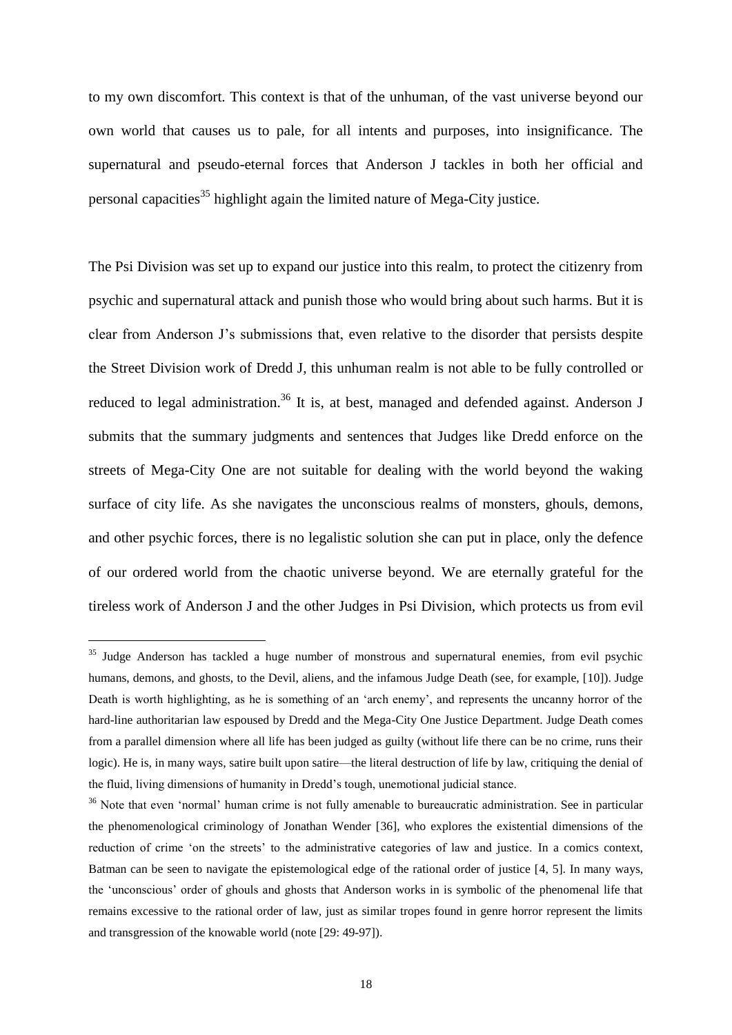to my own discomfort. This context is that of the unhuman, of the vast universe beyond our own world that causes us to pale, for all intents and purposes, into insignificance. The supernatural and pseudo-eternal forces that Anderson J tackles in both her official and personal capacities<sup>35</sup> highlight again the limited nature of Mega-City justice.

The Psi Division was set up to expand our justice into this realm, to protect the citizenry from psychic and supernatural attack and punish those who would bring about such harms. But it is clear from Anderson J's submissions that, even relative to the disorder that persists despite the Street Division work of Dredd J, this unhuman realm is not able to be fully controlled or reduced to legal administration.<sup>36</sup> It is, at best, managed and defended against. Anderson J submits that the summary judgments and sentences that Judges like Dredd enforce on the streets of Mega-City One are not suitable for dealing with the world beyond the waking surface of city life. As she navigates the unconscious realms of monsters, ghouls, demons, and other psychic forces, there is no legalistic solution she can put in place, only the defence of our ordered world from the chaotic universe beyond. We are eternally grateful for the tireless work of Anderson J and the other Judges in Psi Division, which protects us from evil

<sup>&</sup>lt;sup>35</sup> Judge Anderson has tackled a huge number of monstrous and supernatural enemies, from evil psychic humans, demons, and ghosts, to the Devil, aliens, and the infamous Judge Death (see, for example, [10]). Judge Death is worth highlighting, as he is something of an 'arch enemy', and represents the uncanny horror of the hard-line authoritarian law espoused by Dredd and the Mega-City One Justice Department. Judge Death comes from a parallel dimension where all life has been judged as guilty (without life there can be no crime, runs their logic). He is, in many ways, satire built upon satire—the literal destruction of life by law, critiquing the denial of the fluid, living dimensions of humanity in Dredd's tough, unemotional judicial stance.

<sup>&</sup>lt;sup>36</sup> Note that even 'normal' human crime is not fully amenable to bureaucratic administration. See in particular the phenomenological criminology of Jonathan Wender [36], who explores the existential dimensions of the reduction of crime 'on the streets' to the administrative categories of law and justice. In a comics context, Batman can be seen to navigate the epistemological edge of the rational order of justice [4, 5]. In many ways, the 'unconscious' order of ghouls and ghosts that Anderson works in is symbolic of the phenomenal life that remains excessive to the rational order of law, just as similar tropes found in genre horror represent the limits and transgression of the knowable world (note [29: 49-97]).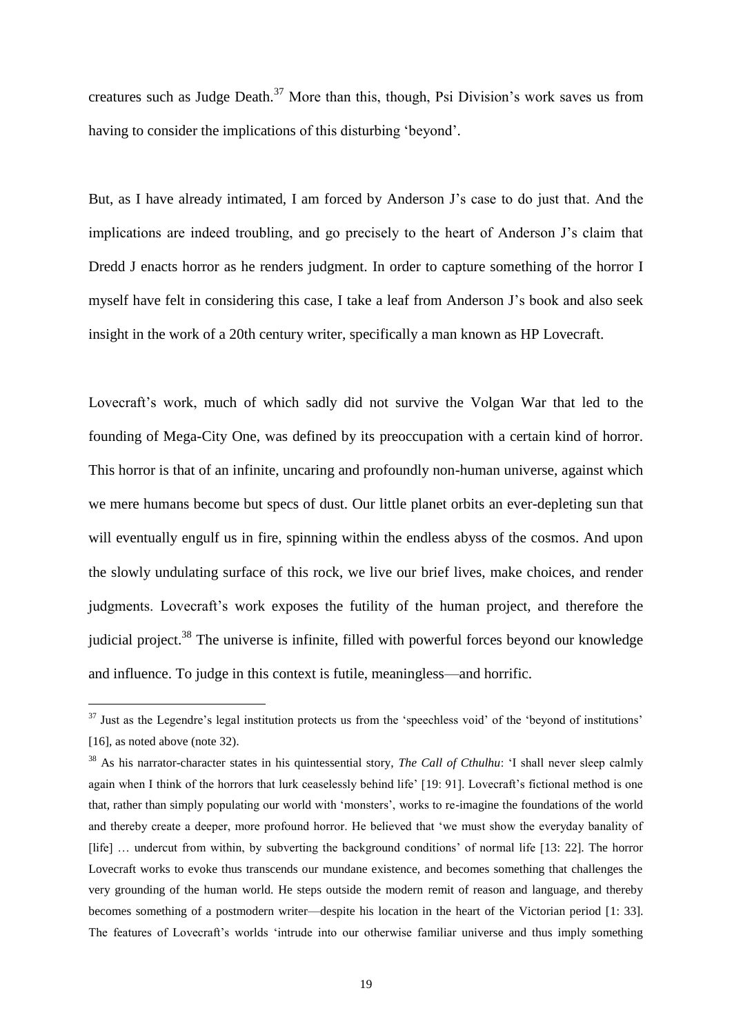creatures such as Judge Death.<sup>37</sup> More than this, though, Psi Division's work saves us from having to consider the implications of this disturbing 'beyond'.

But, as I have already intimated, I am forced by Anderson J's case to do just that. And the implications are indeed troubling, and go precisely to the heart of Anderson J's claim that Dredd J enacts horror as he renders judgment. In order to capture something of the horror I myself have felt in considering this case, I take a leaf from Anderson J's book and also seek insight in the work of a 20th century writer, specifically a man known as HP Lovecraft.

Lovecraft's work, much of which sadly did not survive the Volgan War that led to the founding of Mega-City One, was defined by its preoccupation with a certain kind of horror. This horror is that of an infinite, uncaring and profoundly non-human universe, against which we mere humans become but specs of dust. Our little planet orbits an ever-depleting sun that will eventually engulf us in fire, spinning within the endless abyss of the cosmos. And upon the slowly undulating surface of this rock, we live our brief lives, make choices, and render judgments. Lovecraft's work exposes the futility of the human project, and therefore the judicial project.<sup>38</sup> The universe is infinite, filled with powerful forces beyond our knowledge and influence. To judge in this context is futile, meaningless—and horrific.

 $37$  Just as the Legendre's legal institution protects us from the 'speechless void' of the 'beyond of institutions' [16], as noted above (note 32).

<sup>38</sup> As his narrator-character states in his quintessential story, *The Call of Cthulhu*: 'I shall never sleep calmly again when I think of the horrors that lurk ceaselessly behind life' [19: 91]. Lovecraft's fictional method is one that, rather than simply populating our world with 'monsters', works to re-imagine the foundations of the world and thereby create a deeper, more profound horror. He believed that 'we must show the everyday banality of [life] ... undercut from within, by subverting the background conditions' of normal life [13: 22]. The horror Lovecraft works to evoke thus transcends our mundane existence, and becomes something that challenges the very grounding of the human world. He steps outside the modern remit of reason and language, and thereby becomes something of a postmodern writer—despite his location in the heart of the Victorian period [1: 33]. The features of Lovecraft's worlds 'intrude into our otherwise familiar universe and thus imply something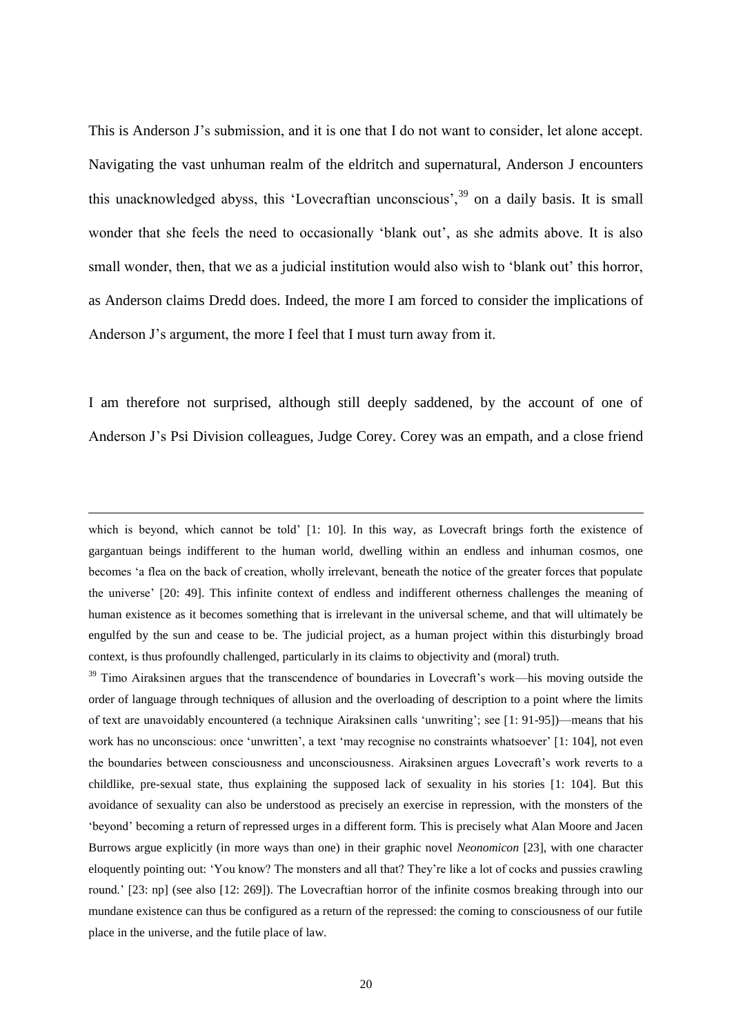This is Anderson J's submission, and it is one that I do not want to consider, let alone accept. Navigating the vast unhuman realm of the eldritch and supernatural, Anderson J encounters this unacknowledged abyss, this 'Lovecraftian unconscious',  $39$  on a daily basis. It is small wonder that she feels the need to occasionally 'blank out', as she admits above. It is also small wonder, then, that we as a judicial institution would also wish to 'blank out' this horror, as Anderson claims Dredd does. Indeed, the more I am forced to consider the implications of Anderson J's argument, the more I feel that I must turn away from it.

I am therefore not surprised, although still deeply saddened, by the account of one of Anderson J's Psi Division colleagues, Judge Corey. Corey was an empath, and a close friend

 $\overline{a}$ 

 $39$  Timo Airaksinen argues that the transcendence of boundaries in Lovecraft's work—his moving outside the order of language through techniques of allusion and the overloading of description to a point where the limits of text are unavoidably encountered (a technique Airaksinen calls 'unwriting'; see [1: 91-95])—means that his work has no unconscious: once 'unwritten', a text 'may recognise no constraints whatsoever' [1: 104], not even the boundaries between consciousness and unconsciousness. Airaksinen argues Lovecraft's work reverts to a childlike, pre-sexual state, thus explaining the supposed lack of sexuality in his stories [1: 104]. But this avoidance of sexuality can also be understood as precisely an exercise in repression, with the monsters of the 'beyond' becoming a return of repressed urges in a different form. This is precisely what Alan Moore and Jacen Burrows argue explicitly (in more ways than one) in their graphic novel *Neonomicon* [23], with one character eloquently pointing out: 'You know? The monsters and all that? They're like a lot of cocks and pussies crawling round.' [23: np] (see also [12: 269]). The Lovecraftian horror of the infinite cosmos breaking through into our mundane existence can thus be configured as a return of the repressed: the coming to consciousness of our futile place in the universe, and the futile place of law.

which is beyond, which cannot be told' [1: 10]. In this way, as Lovecraft brings forth the existence of gargantuan beings indifferent to the human world, dwelling within an endless and inhuman cosmos, one becomes 'a flea on the back of creation, wholly irrelevant, beneath the notice of the greater forces that populate the universe' [20: 49]. This infinite context of endless and indifferent otherness challenges the meaning of human existence as it becomes something that is irrelevant in the universal scheme, and that will ultimately be engulfed by the sun and cease to be. The judicial project, as a human project within this disturbingly broad context, is thus profoundly challenged, particularly in its claims to objectivity and (moral) truth.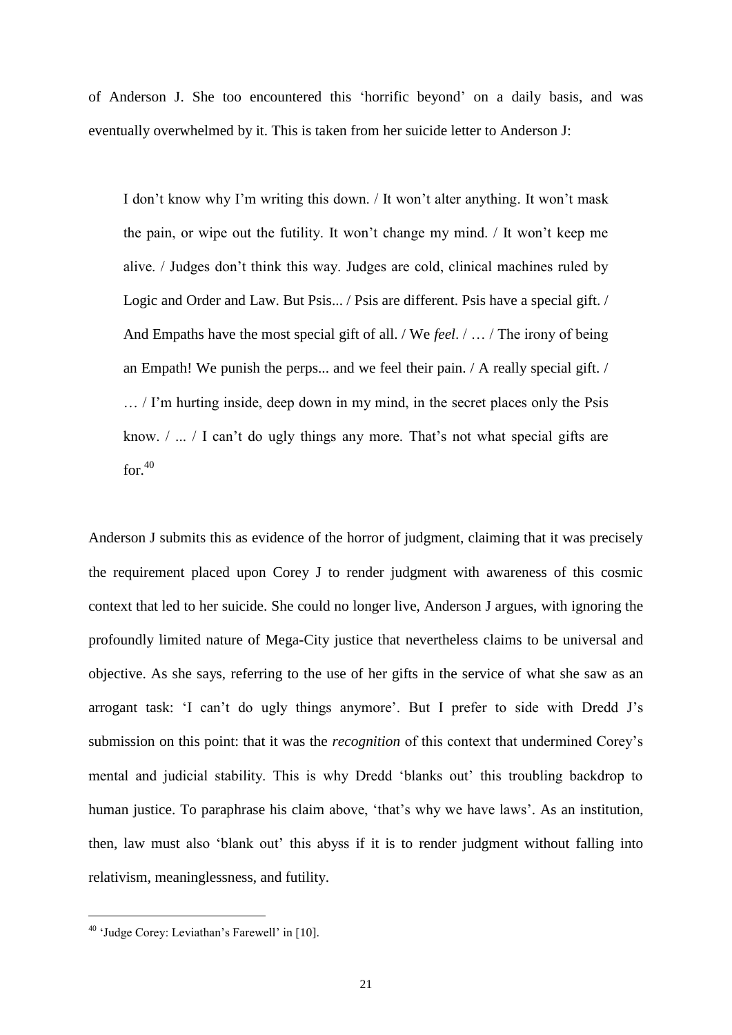of Anderson J. She too encountered this 'horrific beyond' on a daily basis, and was eventually overwhelmed by it. This is taken from her suicide letter to Anderson J:

I don't know why I'm writing this down. / It won't alter anything. It won't mask the pain, or wipe out the futility. It won't change my mind. / It won't keep me alive. / Judges don't think this way. Judges are cold, clinical machines ruled by Logic and Order and Law. But Psis... / Psis are different. Psis have a special gift. / And Empaths have the most special gift of all. / We *feel*. / … / The irony of being an Empath! We punish the perps... and we feel their pain. / A really special gift. / … / I'm hurting inside, deep down in my mind, in the secret places only the Psis know.  $/ \ldots / I$  can't do ugly things any more. That's not what special gifts are  $for.<sup>40</sup>$ 

Anderson J submits this as evidence of the horror of judgment, claiming that it was precisely the requirement placed upon Corey J to render judgment with awareness of this cosmic context that led to her suicide. She could no longer live, Anderson J argues, with ignoring the profoundly limited nature of Mega-City justice that nevertheless claims to be universal and objective. As she says, referring to the use of her gifts in the service of what she saw as an arrogant task: 'I can't do ugly things anymore'. But I prefer to side with Dredd J's submission on this point: that it was the *recognition* of this context that undermined Corey's mental and judicial stability. This is why Dredd 'blanks out' this troubling backdrop to human justice. To paraphrase his claim above, 'that's why we have laws'. As an institution, then, law must also 'blank out' this abyss if it is to render judgment without falling into relativism, meaninglessness, and futility.

<sup>40</sup> 'Judge Corey: Leviathan's Farewell' in [10].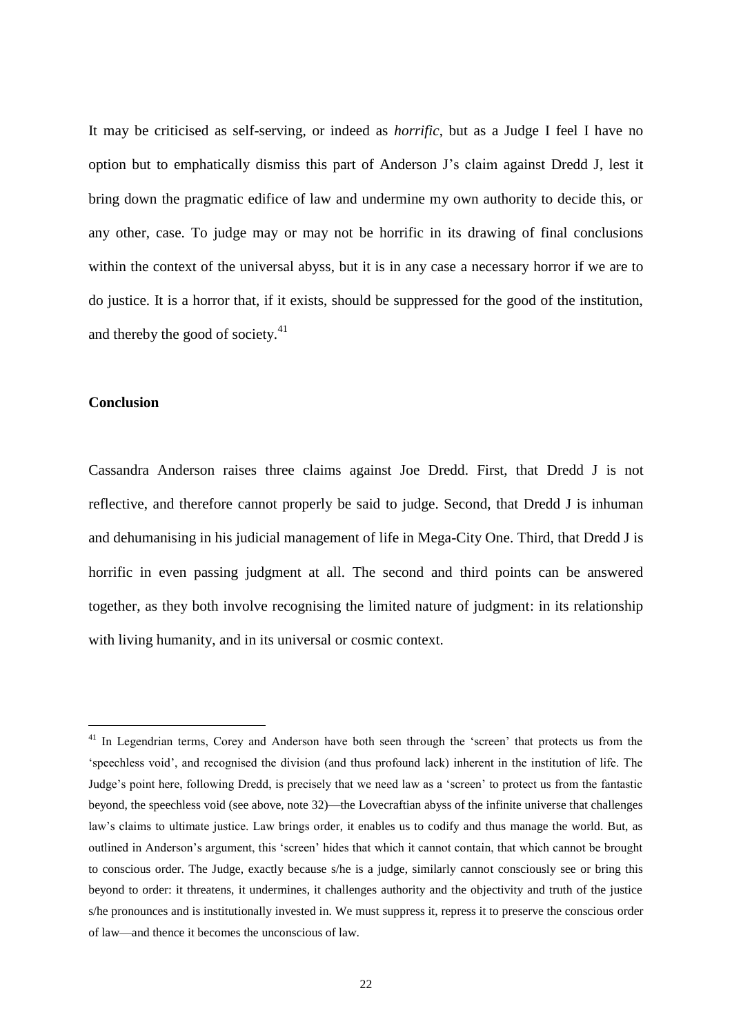It may be criticised as self-serving, or indeed as *horrific*, but as a Judge I feel I have no option but to emphatically dismiss this part of Anderson J's claim against Dredd J, lest it bring down the pragmatic edifice of law and undermine my own authority to decide this, or any other, case. To judge may or may not be horrific in its drawing of final conclusions within the context of the universal abyss, but it is in any case a necessary horror if we are to do justice. It is a horror that, if it exists, should be suppressed for the good of the institution, and thereby the good of society.<sup>41</sup>

## **Conclusion**

 $\overline{a}$ 

Cassandra Anderson raises three claims against Joe Dredd. First, that Dredd J is not reflective, and therefore cannot properly be said to judge. Second, that Dredd J is inhuman and dehumanising in his judicial management of life in Mega-City One. Third, that Dredd J is horrific in even passing judgment at all. The second and third points can be answered together, as they both involve recognising the limited nature of judgment: in its relationship with living humanity, and in its universal or cosmic context.

<sup>&</sup>lt;sup>41</sup> In Legendrian terms, Corey and Anderson have both seen through the 'screen' that protects us from the 'speechless void', and recognised the division (and thus profound lack) inherent in the institution of life. The Judge's point here, following Dredd, is precisely that we need law as a 'screen' to protect us from the fantastic beyond, the speechless void (see above, note 32)—the Lovecraftian abyss of the infinite universe that challenges law's claims to ultimate justice. Law brings order, it enables us to codify and thus manage the world. But, as outlined in Anderson's argument, this 'screen' hides that which it cannot contain, that which cannot be brought to conscious order. The Judge, exactly because s/he is a judge, similarly cannot consciously see or bring this beyond to order: it threatens, it undermines, it challenges authority and the objectivity and truth of the justice s/he pronounces and is institutionally invested in. We must suppress it, repress it to preserve the conscious order of law—and thence it becomes the unconscious of law.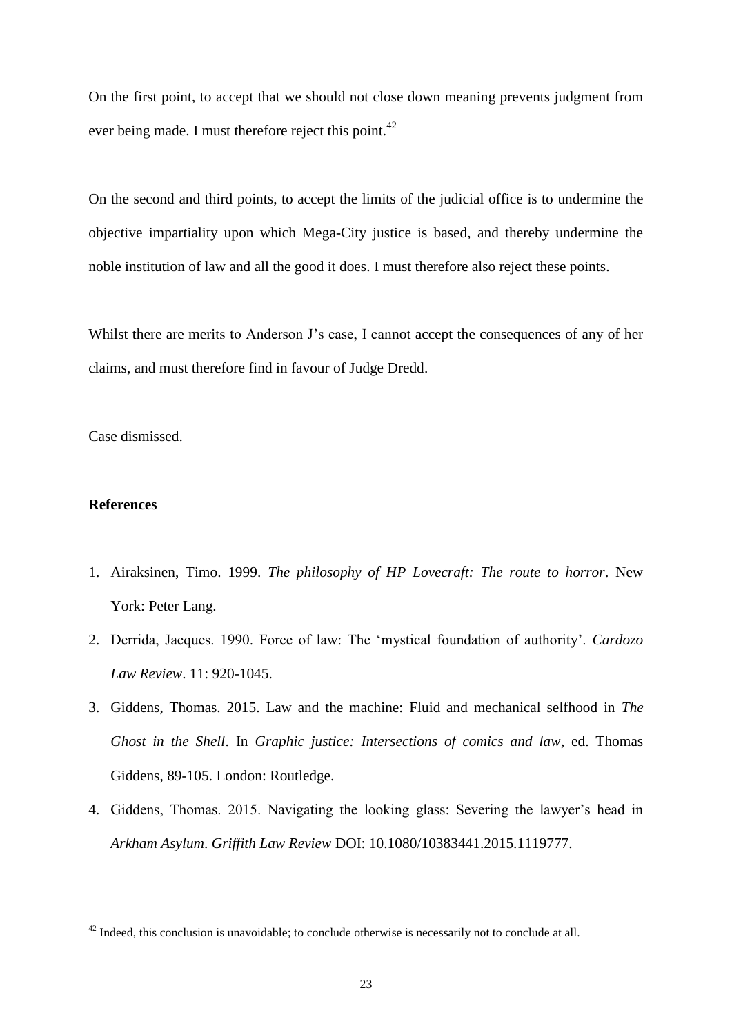On the first point, to accept that we should not close down meaning prevents judgment from ever being made. I must therefore reject this point.  $42$ 

On the second and third points, to accept the limits of the judicial office is to undermine the objective impartiality upon which Mega-City justice is based, and thereby undermine the noble institution of law and all the good it does. I must therefore also reject these points.

Whilst there are merits to Anderson J's case, I cannot accept the consequences of any of her claims, and must therefore find in favour of Judge Dredd.

Case dismissed.

## **References**

- 1. Airaksinen, Timo. 1999. *The philosophy of HP Lovecraft: The route to horror*. New York: Peter Lang.
- 2. Derrida, Jacques. 1990. Force of law: The 'mystical foundation of authority'. *Cardozo Law Review*. 11: 920-1045.
- 3. Giddens, Thomas. 2015. Law and the machine: Fluid and mechanical selfhood in *The Ghost in the Shell*. In *Graphic justice: Intersections of comics and law*, ed. Thomas Giddens, 89-105. London: Routledge.
- 4. Giddens, Thomas. 2015. Navigating the looking glass: Severing the lawyer's head in *Arkham Asylum*. *Griffith Law Review* DOI: 10.1080/10383441.2015.1119777.

 $42$  Indeed, this conclusion is unavoidable; to conclude otherwise is necessarily not to conclude at all.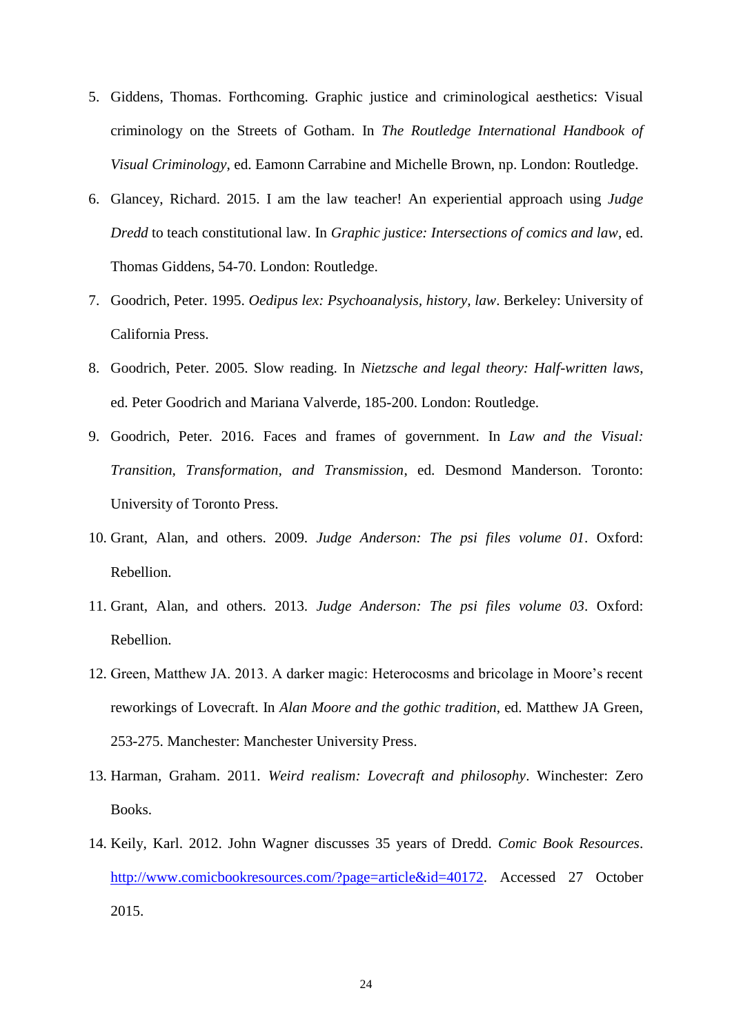- 5. Giddens, Thomas. Forthcoming. Graphic justice and criminological aesthetics: Visual criminology on the Streets of Gotham. In *The Routledge International Handbook of Visual Criminology*, ed. Eamonn Carrabine and Michelle Brown, np. London: Routledge.
- 6. Glancey, Richard. 2015. I am the law teacher! An experiential approach using *Judge Dredd* to teach constitutional law. In *Graphic justice: Intersections of comics and law*, ed. Thomas Giddens, 54-70. London: Routledge.
- 7. Goodrich, Peter. 1995. *Oedipus lex: Psychoanalysis, history, law*. Berkeley: University of California Press.
- 8. Goodrich, Peter. 2005. Slow reading. In *Nietzsche and legal theory: Half-written laws*, ed. Peter Goodrich and Mariana Valverde, 185-200. London: Routledge.
- 9. Goodrich, Peter. 2016. Faces and frames of government. In *Law and the Visual: Transition, Transformation, and Transmission*, ed. Desmond Manderson. Toronto: University of Toronto Press.
- 10. Grant, Alan, and others. 2009. *Judge Anderson: The psi files volume 01*. Oxford: Rebellion.
- 11. Grant, Alan, and others. 2013. *Judge Anderson: The psi files volume 03*. Oxford: Rebellion.
- 12. Green, Matthew JA. 2013. A darker magic: Heterocosms and bricolage in Moore's recent reworkings of Lovecraft. In *Alan Moore and the gothic tradition*, ed. Matthew JA Green, 253-275. Manchester: Manchester University Press.
- 13. Harman, Graham. 2011. *Weird realism: Lovecraft and philosophy*. Winchester: Zero Books.
- 14. Keily, Karl. 2012. John Wagner discusses 35 years of Dredd. *Comic Book Resources*. [http://www.comicbookresources.com/?page=article&id=40172.](http://www.comicbookresources.com/?page=article&id=40172) Accessed 27 October 2015.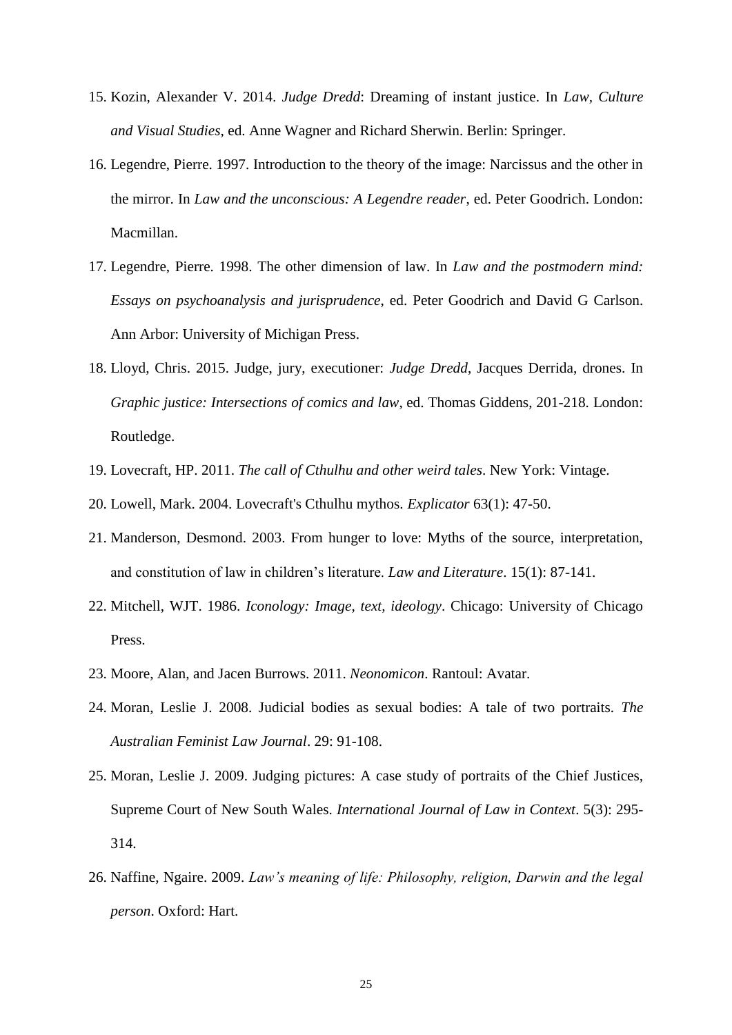- 15. Kozin, Alexander V. 2014. *Judge Dredd*: Dreaming of instant justice. In *Law, Culture and Visual Studies*, ed. Anne Wagner and Richard Sherwin. Berlin: Springer.
- 16. Legendre, Pierre. 1997. Introduction to the theory of the image: Narcissus and the other in the mirror. In *Law and the unconscious: A Legendre reader*, ed. Peter Goodrich. London: Macmillan.
- 17. Legendre, Pierre. 1998. The other dimension of law. In *Law and the postmodern mind: Essays on psychoanalysis and jurisprudence*, ed. Peter Goodrich and David G Carlson. Ann Arbor: University of Michigan Press.
- 18. Lloyd, Chris. 2015. Judge, jury, executioner: *Judge Dredd*, Jacques Derrida, drones. In *Graphic justice: Intersections of comics and law*, ed. Thomas Giddens, 201-218. London: Routledge.
- 19. Lovecraft, HP. 2011. *The call of Cthulhu and other weird tales*. New York: Vintage.
- 20. Lowell, Mark. 2004. Lovecraft's Cthulhu mythos. *Explicator* 63(1): 47-50.
- 21. Manderson, Desmond. 2003. From hunger to love: Myths of the source, interpretation, and constitution of law in children's literature. *Law and Literature*. 15(1): 87-141.
- 22. Mitchell, WJT. 1986. *Iconology: Image, text, ideology*. Chicago: University of Chicago Press.
- 23. Moore, Alan, and Jacen Burrows. 2011. *Neonomicon*. Rantoul: Avatar.
- 24. Moran, Leslie J. 2008. Judicial bodies as sexual bodies: A tale of two portraits. *The Australian Feminist Law Journal*. 29: 91-108.
- 25. Moran, Leslie J. 2009. Judging pictures: A case study of portraits of the Chief Justices, Supreme Court of New South Wales. *International Journal of Law in Context*. 5(3): 295- 314.
- 26. Naffine, Ngaire. 2009. *Law's meaning of life: Philosophy, religion, Darwin and the legal person*. Oxford: Hart.